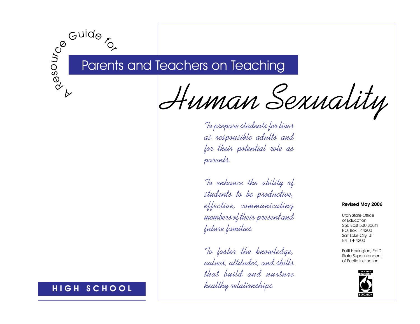# Ce Guide<br>Son Par Parents and Teachers on Teaching

Human Sexuality

To prepare students for lives as responsible adults and for their potential role as parents.

To enhance the ability of students to be productive, effective, communicating members of their present and future families.

To foster the knowledge, values, attitudes, and skills that build and nurture healthy relationships.

#### **Revised May 2006**

Utah State Office of Education 250 East 500 South P.O. Box 144200 Salt Lake City, UT 84114-4200

Patti Harrington, Ed.D. State Superintendent of Public Instruction



### HIGH SCHOOL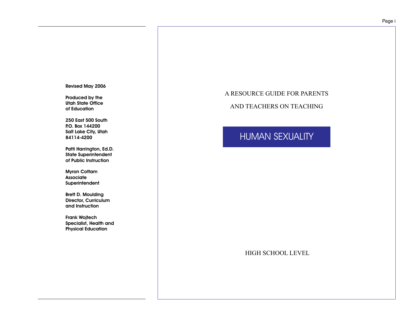#### Revised May 2006

Produced by the Utah State Office of Education

250 East 500 South P.O. Box 144200 Salt Lake City, Utah 84114-4200

Patti Harrington, Ed.D. State Superintendent of Public Instruction

Myron Cottam Associate Superintendent

Brett D. Moulding Director, Curriculum and Instruction

Frank Wojtech Specialist, Health and Physical Education

### A RESOURCE GUIDE FOR PARENTS

AND TEACHERS ON TEACHING

## HUMAN SEXUALITY

HIGH SCHOOL LEVEL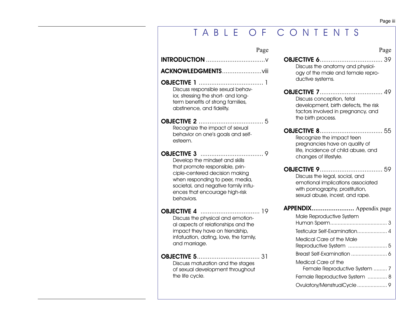# T A B L E O F C O N T E N T S

| Page                                                                                                                                                                                         | Page                                                                                                                                      |  |
|----------------------------------------------------------------------------------------------------------------------------------------------------------------------------------------------|-------------------------------------------------------------------------------------------------------------------------------------------|--|
|                                                                                                                                                                                              | <b>OBJECTIVE 6</b><br>. 39<br>Discuss the anatomy and physiol-                                                                            |  |
|                                                                                                                                                                                              | ogy of the male and female repro-<br>ductive systems.                                                                                     |  |
| Discuss responsible sexual behav-<br>ior, stressing the short- and long-<br>term benefits of strong families,<br>abstinence, and fidelity.                                                   | Discuss conception, fetal<br>development, birth defects, the risk<br>factors involved in pregnancy, and<br>the birth process.             |  |
| Recognize the impact of sexual<br>behavior on one's goals and self-<br>esteem.                                                                                                               | Recognize the impact teen<br>pregnancies have on quality of<br>life, incidence of child abuse, and                                        |  |
| Develop the mindset and skills                                                                                                                                                               | changes of lifestyle.                                                                                                                     |  |
| that promote responsible, prin-<br>ciple-centered decision making<br>when responding to peer, media,<br>societal, and negative family influ-<br>ences that encourage high-risk<br>behaviors. | Discuss the legal, social, and<br>emotional implications associated<br>with pornography, prostitution,<br>sexual abuse, incest, and rape. |  |
|                                                                                                                                                                                              | APPENDIX Appendix page                                                                                                                    |  |
| Discuss the physical and emotion-<br>al aspects of relationships and the<br>impact they have on friendship,<br>infatuation, dating, love, the family,<br>and marriage.                       | Male Reproductive System<br>Testicular Self-Examination 4                                                                                 |  |
|                                                                                                                                                                                              | Medical Care of the Male                                                                                                                  |  |
|                                                                                                                                                                                              |                                                                                                                                           |  |
| Discuss maturation and the stages<br>of sexual development throughout<br>the life cycle.                                                                                                     |                                                                                                                                           |  |
|                                                                                                                                                                                              | Medical Care of the<br>Female Reproductive System  7                                                                                      |  |
|                                                                                                                                                                                              | Female Reproductive System  8                                                                                                             |  |
|                                                                                                                                                                                              |                                                                                                                                           |  |

Page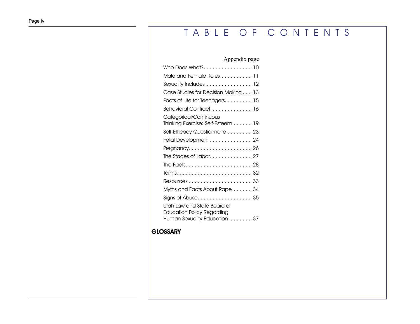# T A B L E O F C O N T E N T S

### Appendix page

| Who Does What? 10                                                                                 |
|---------------------------------------------------------------------------------------------------|
| Male and Female Roles 11                                                                          |
| Sexuality Includes  12                                                                            |
| Case Studies for Decision Making  13                                                              |
| Facts of Life for Teenagers 15                                                                    |
| Behavioral Contract  16                                                                           |
| Categorical/Continuous<br>Thinking Exercise: Self-Esteem 19                                       |
| Self-Efficacy Questionnaire 23                                                                    |
| Fetal Development  24                                                                             |
|                                                                                                   |
|                                                                                                   |
|                                                                                                   |
|                                                                                                   |
|                                                                                                   |
| Myths and Facts About Rape 34                                                                     |
|                                                                                                   |
| Utah Law and State Board of<br><b>Education Policy Regarding</b><br>Human Sexuality Education  37 |
|                                                                                                   |

### **[GLOSSARY](#page-111-0)**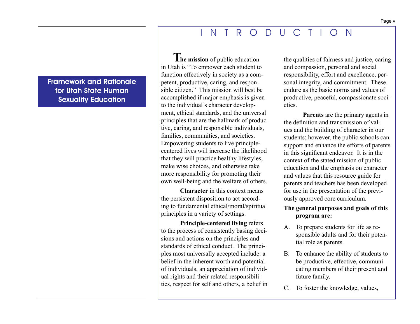### I N T R O D U C T I O N

<span id="page-4-0"></span>Framework and Rationale for Utah State Human Sexuality Education

**he mission** of public education **T** in Utah is "To empower each student to function effectively in society as a competent, productive, caring, and responsible citizen." This mission will best be accomplished if major emphasis is given to the individual's character development, ethical standards, and the universal principles that are the hallmark of productive, caring, and responsible individuals, families, communities, and societies. Empowering students to live principlecentered lives will increase the likelihood that they will practice healthy lifestyles, make wise choices, and otherwise take more responsibility for promoting their own well-being and the welfare of others.

**Character** in this context means the persistent disposition to act according to fundamental ethical/moral/spiritual principles in a variety of settings.

**Principle-centered living** refers to the process of consistently basing decisions and actions on the principles and standards of ethical conduct. The principles most universally accepted include: a belief in the inherent worth and potential of individuals, an appreciation of individual rights and their related responsibilities, respect for self and others, a belief in the qualities of fairness and justice, caring and compassion, personal and social responsibility, effort and excellence, personal integrity, and commitment. These endure as the basic norms and values of productive, peaceful, compassionate societies.

**Parents** are the primary agents in the definition and transmission of values and the building of character in our students; however, the public schools can support and enhance the efforts of parents in this significant endeavor. It is in the context of the stated mission of public education and the emphasis on character and values that this resource guide for parents and teachers has been developed for use in the presentation of the previously approved core curriculum.

### **The general purposes and goals of this program are:**

- A. To prepare students for life as responsible adults and for their potential role as parents.
- B. To enhance the ability of students to be productive, effective, communicating members of their present and future family.
- C. To foster the knowledge, values,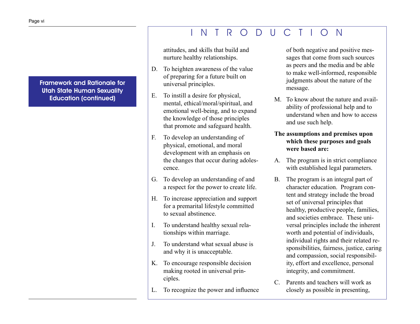### I N T R O D U C T I O N

Framework and Rationale for Utah State Human Sexuality Education (continued)

attitudes, and skills that build and nurture healthy relationships.

- D. To heighten awareness of the value of preparing for a future built on universal principles.
- E. To instill a desire for physical, mental, ethical/moral/spiritual, and emotional well-being, and to expand the knowledge of those principles that promote and safeguard health.
- F. To develop an understanding of physical, emotional, and moral development with an emphasis on the changes that occur during adolescence.
- G. To develop an understanding of and a respect for the power to create life.
- H. To increase appreciation and support for a premarital lifestyle committed to sexual abstinence.
- I. To understand healthy sexual relationships within marriage.
- J. To understand what sexual abuse is and why it is unacceptable.
- K. To encourage responsible decision making rooted in universal principles.
- L. To recognize the power and influence

of both negative and positive messages that come from such sources as peers and the media and be able to make well-informed, responsible judgments about the nature of the message.

- M. To know about the nature and availability of professional help and to understand when and how to access and use such help.
- **The assumptions and premises upon which these purposes and goals were based are:**
- A. The program is in strict compliance with established legal parameters.
- B. The program is an integral part of character education. Program content and strategy include the broad set of universal principles that healthy, productive people, families, and societies embrace. These universal principles include the inherent worth and potential of individuals, individual rights and their related responsibilities, fairness, justice, caring and compassion, social responsibility, effort and excellence, personal integrity, and commitment.
- C. Parents and teachers will work as closely as possible in presenting,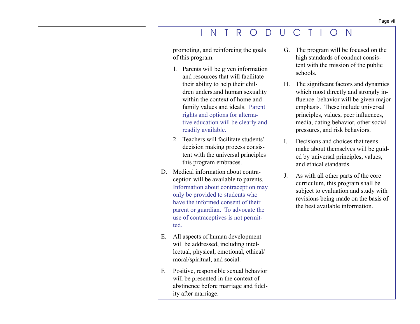### I N T R O D U C T I O N

promoting, and reinforcing the goals of this program.

- 1. Parents will be given information and resources that will facilitate their ability to help their children understand human sexuality within the context of home and family values and ideals. Parent rights and options for alternative education will be clearly and readily available.
- 2. Teachers will facilitate students' decision making process consistent with the universal principles this program embraces.
- D. Medical information about contraception will be available to parents. Information about contraception may only be provided to students who have the informed consent of their parent or guardian. To advocate the use of contraceptives is not permitted.
- E. All aspects of human development will be addressed, including intellectual, physical, emotional, ethical/ moral/spiritual, and social.
- F. Positive, responsible sexual behavior will be presented in the context of abstinence before marriage and fidelity after marriage.
- G. The program will be focused on the high standards of conduct consistent with the mission of the public schools.
- H. The significant factors and dynamics which most directly and strongly influence behavior will be given major emphasis. These include universal principles, values, peer influences, media, dating behavior, other social pressures, and risk behaviors.
- I. Decisions and choices that teens make about themselves will be guided by universal principles, values, and ethical standards.
- J. As with all other parts of the core curriculum, this program shall be subject to evaluation and study with revisions being made on the basis of the best available information.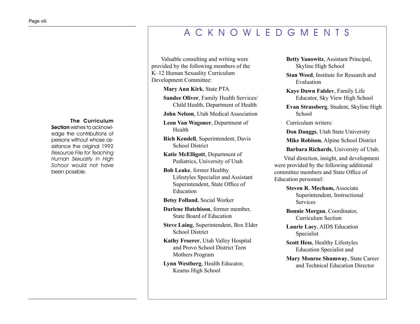### A C K N O W L E D G M E N T S

Valuable consulting and writing were provided by the following members of the K–12 Human Sexuality Curriculum Development Committee:

**Mary Ann Kirk**, State PTA

**Sandee Oliver**, Family Health Services/ Child Health, Department of Health

**John Nelson**, Utah Medical Association

**Leon Van Wagoner**, Department of Health

**Rich Kendell**, Superintendent, Davis School District

**Katie McElligott**, Department of Pediatrics, University of Utah

**Bob Leake**, former Healthy Lifestyles Specialist and Assistant Superintendent, State Office of Education

**Betsy Folland**, Social Worker

**Darlene Hutchison**, former member, State Board of Education

**Steve Laing**, Superintendent, Box Elder School District

**Kathy Froerer**, Utah Valley Hospital and Provo School District Teen Mothers Program

**Lynn Westberg**, Health Educator, Kearns High School

**Betty Yanowitz**, Assistant Principal, Skyline High School

**Stan Weed**, Institute for Research and Evaluation

**Kaye Dawn Falslev**, Family Life Educator, Sky View High School

**Evan Strassberg**, Student, Skyline High School

Curriculum writers:

**Don Dauggs**, Utah State University

**Mike Robison**, Alpine School District

**Barbara Richards**, University of Utah.

Vital direction, insight, and development were provided by the following additional committee members and State Office of Education personnel:

> **Steven R. Mecham,** Associate Superintendent, Instructional Services

**Bonnie Morgan**, Coordinator, Curriculum Section

**Laurie Lacy**, AIDS Education Specialist

**Scott Hess**, Healthy Lifestyles Education Specialist and

**Mary Monroe Shumway**, State Career and Technical Education Director

#### The Curriculum

<span id="page-7-0"></span>Section wishes to acknowledge the contributions of persons without whose assistance the original 1992 Resource File for Teaching Human Sexuality in High School would not have been possible.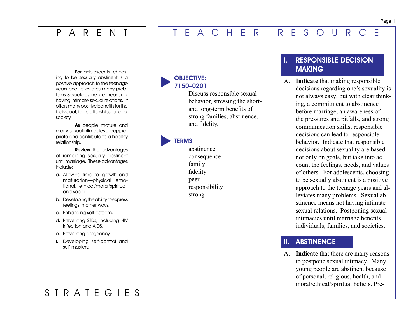### <span id="page-8-0"></span>P A R F N

### T E A C H E R R E S O U R C E

For adolescents, choosing to be sexually abstinent is a positive approach to the teenage years and alleviates many problems. Sexual abstinence means not having intimate sexual relations. It offers many positive benefits for the individual, for relationships, and for society.

As people mature and marry, sexual intimacies are appropriate and contribute to a healthy relationship.

Review the advantages of remaining sexually abstinent until marriage. These advantages include:

- a. Allowing time for growth and maturation—physical, emotional, ethical/moral/spiritual, and social.
- b. Developing the ability to express feelings in other ways.
- c. Enhancing self-esteem.
- d. Preventing STDs, including HIV infection and AIDS.
- e. Preventing pregnancy.
- f. Developing self-control and self-mastery.

OBJECTIVE: 7150–0201 

> Discuss responsible sexual behavior, stressing the shortand long-term benefits of strong families, abstinence, and fidelity.

### **TERMS**

abstinence consequence family fidelity peer responsibility strong

### **I. RESPONSIBLE DECISION**  MAKING

A. **Indicate** that making responsible decisions regarding one's sexuality is not always easy; but with clear thinking, a commitment to abstinence before marriage, an awareness of the pressures and pitfalls, and strong communication skills, responsible decisions can lead to responsible behavior. Indicate that responsible decisions about sexuality are based not only on goals, but take into account the feelings, needs, and values of others. For adolescents, choosing to be sexually abstinent is a positive approach to the teenage years and alleviates many problems. Sexual abstinence means not having intimate sexual relations. Postponing sexual intimacies until marriage benefits individuals, families, and societies.

### **II. ABSTINENCE**

A. **Indicate** that there are many reasons to postpone sexual intimacy. Many young people are abstinent because of personal, religious, health, and moral/ethical/spiritual beliefs. Pre-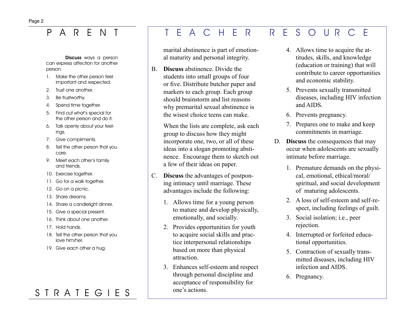# P A R E N T T E A C H E R R E S O U R C E

#### Discuss ways a person can express affection for another person.

- 1. Make the other person feel important and respected.
- 2. Trust one another.
- 3. Be trustworthy.
- 4. Spend time together.
- 5. Find out what's special for the other person and do it.
- 6. Talk openly about your feelings.
- 7. Give compliments.
- 8. Tell the other person that you care.
- 9. Meet each other's family and friends.
- 10. Exercise together.
- 11. Go for a walk together.
- 12. Go on a picnic.
- 13. Share dreams.
- 14. Share a candlelight dinner.
- 15. Give a special present.
- 16. Think about one another.
- 17. Hold hands.
- 18. Tell the other person that you love him/her.
- 19. Give each other a hug.

markers to each group. Each group should brainstorm and list reasons why premarital sexual abstinence is the wisest choice teens can make.

students into small groups of four or five. Distribute butcher paper and

marital abstinence is part of emotional maturity and personal integrity.

B. **Discuss** abstinence. Divide the

When the lists are complete, ask each group to discuss how they might incorporate one, two, or all of these ideas into a slogan promoting abstinence. Encourage them to sketch out a few of their ideas on paper.

- C. **Discuss** the advantages of postponing intimacy until marriage. These advantages include the following:
	- 1. Allows time for a young person to mature and develop physically, emotionally, and socially.
	- 2. Provides opportunities for youth to acquire social skills and practice interpersonal relationships based on more than physical attraction.
	- 3. Enhances self-esteem and respect through personal discipline and acceptance of responsibility for one's actions.
- 4. Allows time to acquire the attitudes, skills, and knowledge (education or training) that will contribute to career opportunities and economic stability.
- 5. Prevents sexually transmitted diseases, including HIV infection and AIDS.
- 6. Prevents pregnancy.
- 7. Prepares one to make and keep commitments in marriage.
- D. **Discuss** the consequences that may occur when adolescents are sexually intimate before marriage.
	- 1. Premature demands on the physical, emotional, ethical/moral/ spiritual, and social development of maturing adolescents.
	- 2. A loss of self-esteem and self-respect, including feelings of guilt.
	- 3. Social isolation; i.e., peer rejection.
	- 4. Interrupted or forfeited educational opportunities.
	- 5. Contraction of sexually transmitted diseases, including HIV infection and AIDS.
	- 6. Pregnancy.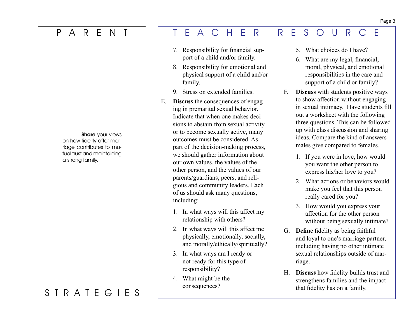### P A R E N

**Share** your views

on how fidelity after marriage contributes to mutual trust and maintaining a strong family.

# S T R A T E G I E S

### E A C H E R R E S O U R C E

- 7. Responsibility for financial support of a child and/or family.
- 8. Responsibility for emotional and physical support of a child and/or family.
- 9. Stress on extended families.
- E. **Discuss** the consequences of engaging in premarital sexual behavior. Indicate that when one makes decisions to abstain from sexual activity or to become sexually active, many outcomes must be considered. As part of the decision-making process, we should gather information about our own values, the values of the other person, and the values of our parents/guardians, peers, and religious and community leaders. Each of us should ask many questions, including:
	- 1. In what ways will this affect my relationship with others?
	- 2. In what ways will this affect me physically, emotionally, socially, and morally/ethically/spiritually?
	- 3. In what ways am I ready or not ready for this type of responsibility?
	- 4. What might be the consequences?
- 5. What choices do I have?
- 6. What are my legal, financial, moral, physical, and emotional responsibilities in the care and support of a child or family?
- F. **Discuss** with students positive ways to show affection without engaging in sexual intimacy. Have students fill out a worksheet with the following three questions. This can be followed up with class discussion and sharing ideas. Compare the kind of answers males give compared to females.
	- 1. If you were in love, how would you want the other person to express his/her love to you?
	- 2. What actions or behaviors would make you feel that this person really cared for you?
	- 3. How would you express your affection for the other person without being sexually intimate?
- G. **Define** fidelity as being faithful and loyal to one's marriage partner, including having no other intimate sexual relationships outside of marriage.
- H. **Discuss** how fidelity builds trust and strengthens families and the impact that fidelity has on a family.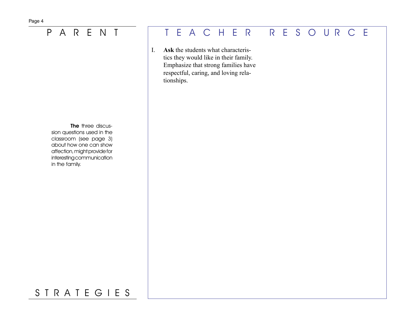The three discussion questions used in the classroom (see page 3) about how one can show affection, might provide for interesting communication in the family.

# P A R E N T T E A C H E R R E S O U R C E

I. **Ask** the students what characteristics they would like in their family. Emphasize that strong families have respectful, caring, and loving relationships.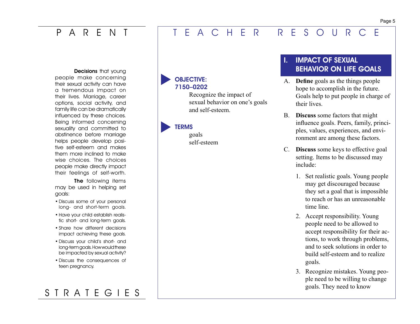### <span id="page-12-0"></span>P A R E N T

### E A C H E R R E S O U R C E

Decisions that young people make concerning their sexual activity can have a tremendous impact on their lives. Marriage, career options, social activity, and family life can be dramatically influenced by these choices. Being informed concerning sexuality and committed to abstinence before marriage helps people develop positive self-esteem and makes them more inclined to make wise choices. The choices people make directly impact their feelings of self-worth.

The following items may be used in helping set goals:

- Discuss some of your personal long- and short-term goals.
- Have your child establish realistic short- and long-term goals.
- Share how different decisions impact achieving these goals.
- Discuss your child's short- and long-term goals. How would these be impacted by sexual activity?
- Discuss the consequences of teen pregnancy.

# S T R A T E G I E S

### OBJECTIVE: 7150–0202

Recognize the impact of sexual behavior on one's goals and self-esteem.

#### **TERMS**

goals self-esteem

### **IMPACT OF SEXUAL**  BEHAVIOR ON LIFE GOALS

- A. **Define** goals as the things people hope to accomplish in the future. Goals help to put people in charge of their lives.
- B. **Discuss** some factors that might influence goals. Peers, family, principles, values, experiences, and environment are among these factors.
- C. **Discuss** some keys to effective goal setting. Items to be discussed may include:
	- 1. Set realistic goals. Young people may get discouraged because they set a goal that is impossible to reach or has an unreasonable time line.
	- 2. Accept responsibility. Young people need to be allowed to accept responsibility for their actions, to work through problems, and to seek solutions in order to build self-esteem and to realize goals.
	- 3. Recognize mistakes. Young people need to be willing to change goals. They need to know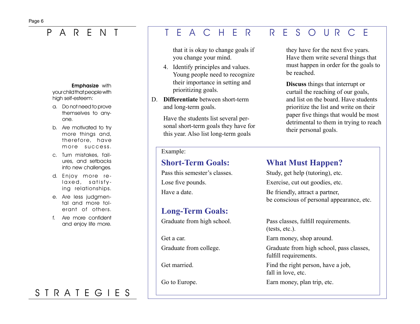#### **Emphasize with**

your child that people with high self-esteem:

- a. Do not need to prove themselves to anyone.
- b. Are motivated to try more things and, therefore, have more success.
- c. Turn mistakes, failures, and setbacks into new challenges.
- d. Enjoy more relaxed, satisfying relationships.
- e. Are less judgmental and more tolerant of others.
- f. Are more confident and enjoy life more.

# S T R A T E G I E S

### P A R E N T T E A C H E R R E S O U R C E

that it is okay to change goals if you change your mind.

- 4. Identify principles and values. Young people need to recognize their importance in setting and prioritizing goals.
- D. **Differentiate** between short-term and long-term goals.

Have the students list several personal short-term goals they have for this year. Also list long-term goals

#### Example:

### **Long-Term Goals:**

they have for the next five years. Have them write several things that must happen in order for the goals to be reached.

**Discuss** things that interrupt or curtail the reaching of our goals, and list on the board. Have students prioritize the list and write on their paper five things that would be most detrimental to them in trying to reach their personal goals.

### **Short-Term Goals: What Must Happen?**

Pass this semester's classes. Study, get help (tutoring), etc. Lose five pounds. Exercise, cut out goodies, etc. Have a date. Be friendly, attract a partner, be conscious of personal appearance, etc.

Graduate from high school. Pass classes, fulfill requirements. (tests, etc.).

Get a car. Earn money, shop around.

Graduate from college. Graduate from high school, pass classes, fulfill requirements.

Get married. Find the right person, have a job, fall in love, etc.

Go to Europe. Earn money, plan trip, etc.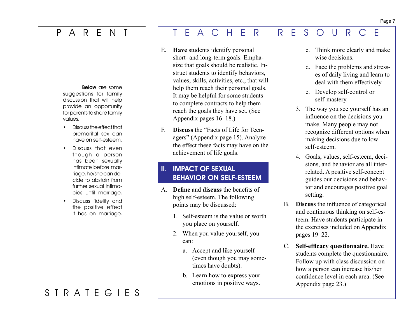### P A R E N T

#### Below are some

suggestions for family discussion that will help provide an opportunity for parents to share family values.

- Discuss the effect that premarital sex can have on self-esteem.
- Discuss that even though a person has been sexually intimate before marriage, he/she can decide to abstain from further sexual intimacies until marriage.
- Discuss fidelity and the positive effect it has on marriage.

# S T R A T E G I E S

### E A C H E R R E S O U R C E

- E. **Have** students identify personal short- and long-term goals. Emphasize that goals should be realistic. Instruct students to identify behaviors, values, skills, activities, etc., that will help them reach their personal goals. It may be helpful for some students to complete contracts to help them reach the goals they have set. (See Appendix pages 16–18.)
- F. **Discuss** the "Facts of Life for Teenagers" (Appendix page 15). Analyze the effect these facts may have on the achievement of life goals.

### **II. IMPACT OF SEXUAL**  BEHAVIOR ON SELF-ESTEEM

- A. **Define** and **discuss** the benefits of high self-esteem. The following points may be discussed:
	- 1. Self-esteem is the value or worth you place on yourself.
	- 2. When you value yourself, you can:
		- a. Accept and like yourself (even though you may sometimes have doubts).
		- b. Learn how to express your emotions in positive ways.
- c. Think more clearly and make wise decisions.
- d. Face the problems and stresses of daily living and learn to deal with them effectively.
- e. Develop self-control or self-mastery.
- 3. The way you see yourself has an influence on the decisions you make. Many people may not recognize different options when making decisions due to low self-esteem.
- 4. Goals, values, self-esteem, decisions, and behavior are all interrelated. A positive self-concept guides our decisions and behavior and encourages positive goal setting.
- B. **Discuss** the influence of categorical and continuous thinking on self-esteem. Have students participate in the exercises included on Appendix pages 19–22.
- C. **Self-efficacy questionnaire.** Have students complete the questionnaire. Follow up with class discussion on how a person can increase his/her confidence level in each area. (See Appendix page 23.)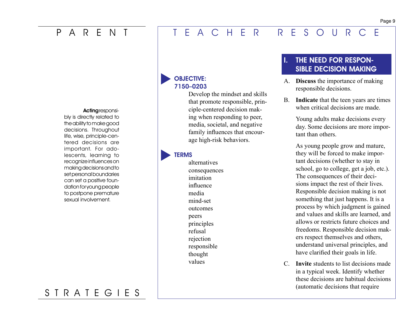### <span id="page-16-0"></span>P A R E N T T E A C H E R R E S O U R C E

#### Acting responsi-

bly is directly related to the ability to make good decisions. Throughout life, wise, principle-centered decisions are important. For adolescents, learning to recognize influences on making decisions and to set personal boundaries can set a positive foundation for young people to postpone premature sexual involvement.

### S T R A T E G I E S

### OBJECTIVE: 7150–0203

Develop the mindset and skills that promote responsible, principle-centered decision making when responding to peer, media, societal, and negative family influences that encourage high-risk behaviors.

### **TERMS**

alternatives consequences imitation influence media mind-set outcomes peers principles refusal rejection responsible thought values

### THE NEED FOR RESPON-SIBLE DECISION MAKING

- A. **Discuss** the importance of making responsible decisions.
- B. **Indicate** that the teen years are times when critical decisions are made.

Young adults make decisions every day. Some decisions are more important than others.

As young people grow and mature, they will be forced to make important decisions (whether to stay in school, go to college, get a job, etc.). The consequences of their decisions impact the rest of their lives. Responsible decision making is not something that just happens. It is a process by which judgment is gained and values and skills are learned, and allows or restricts future choices and freedoms. Responsible decision makers respect themselves and others, understand universal principles, and have clarified their goals in life.

C. **Invite** students to list decisions made in a typical week. Identify whether these decisions are habitual decisions (automatic decisions that require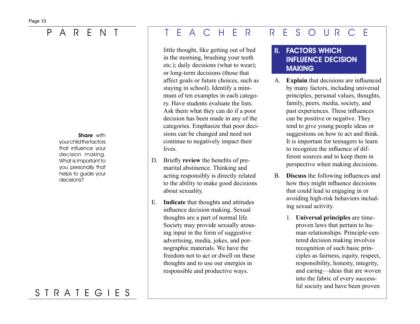#### Share with

your child the factors that influence your decision making. What is important to you personally that helps to guide your decisions?

# S T R A T E G I E S

### P A R E N T T E A C H E R R E S O U R C E

little thought, like getting out of bed in the morning, brushing your teeth etc.); daily decisions (what to wear); or long-term decisions (those that affect goals or future choices, such as staying in school). Identify a minimum of ten examples in each category. Have students evaluate the lists. Ask them what they can do if a poor decision has been made in any of the categories. Emphasize that poor decisions can be changed and need not continue to negatively impact their lives.

- D. Briefly **review** the benefits of premarital abstinence. Thinking and acting responsibly is directly related to the ability to make good decisions about sexuality.
- E. **Indicate** that thoughts and attitudes influence decision making. Sexual thoughts are a part of normal life. Society may provide sexually arousing input in the form of suggestive advertising, media, jokes, and pornographic materials. We have the freedom not to act or dwell on these thoughts and to use our energies in responsible and productive ways.

### II. FACTORS WHICH INFLUENCE DECISION MAKING

- A. **Explain** that decisions are influenced by many factors, including universal principles, personal values, thoughts, family, peers, media, society, and past experiences. These influences can be positive or negative. They tend to give young people ideas or suggestions on how to act and think. It is important for teenagers to learn to recognize the influence of different sources and to keep them in perspective when making decisions.
- B. **Discuss** the following influences and how they might influence decisions that could lead to engaging in or avoiding high-risk behaviors including sexual activity.
	- 1. **Universal principles** are timeproven laws that pertain to human relationships. Principle-centered decision making involves recognition of such basic principles as fairness, equity, respect, responsibility, honesty, integrity, and caring—ideas that are woven into the fabric of every successful society and have been proven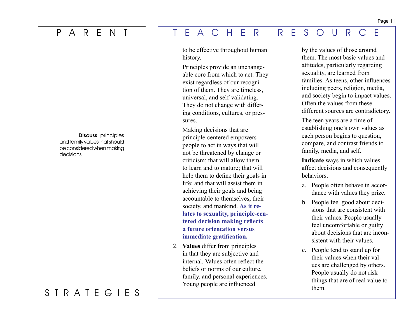Discuss principles and family values that should be considered when making decisions.

### S T R A T E G I E S

### P A R E N T T E A C H E R R E S O U R C E

to be effective throughout human history.

Principles provide an unchangeable core from which to act. They exist regardless of our recognition of them. They are timeless, universal, and self-validating. They do not change with differing conditions, cultures, or pressures.

Making decisions that are principle-centered empowers people to act in ways that will not be threatened by change or criticism; that will allow them to learn and to mature; that will help them to define their goals in life; and that will assist them in achieving their goals and being accountable to themselves, their society, and mankind. **As it relates to sexuality, principle-centered decision making reflects a future orientation versus immediate gratification.**

2. **Values** differ from principles in that they are subjective and internal. Values often reflect the beliefs or norms of our culture, family, and personal experiences. Young people are influenced

by the values of those around them. The most basic values and attitudes, particularly regarding sexuality, are learned from families. As teens, other influences including peers, religion, media, and society begin to impact values. Often the values from these different sources are contradictory.

The teen years are a time of establishing one's own values as each person begins to question, compare, and contrast friends to family, media, and self.

**Indicate** ways in which values affect decisions and consequently behaviors.

- a. People often behave in accordance with values they prize.
- b. People feel good about decisions that are consistent with their values. People usually feel uncomfortable or guilty about decisions that are inconsistent with their values.
- c. People tend to stand up for their values when their values are challenged by others. People usually do not risk things that are of real value to them.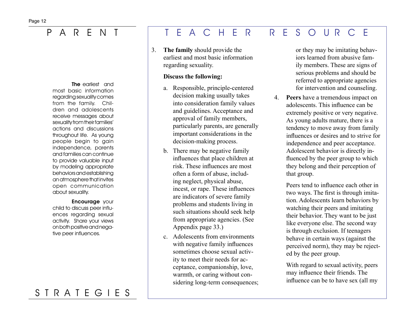The earliest and most basic information regarding sexuality comes from the family. Children and adolescents receive messages about sexuality from their families' actions and discussions throughout life. As young people begin to gain independence, parents and families can continue to provide valuable input by modeling appropriate behaviors and establishing an atmosphere that invites open communication about sexuality.

#### Encourage your

child to discuss peer influences regarding sexual activity. Share your views on both positive and negative peer influences.

### S T R A T E G I E S

### P A R E N T T E A C H E R R E S O U R C E

3. **The family** should provide the earliest and most basic information regarding sexuality.

#### **Discuss the following:**

- a. Responsible, principle-centered decision making usually takes into consideration family values and guidelines. Acceptance and approval of family members, particularly parents, are generally important considerations in the decision-making process.
- b. There may be negative family influences that place children at risk. These influences are most often a form of abuse, including neglect, physical abuse, incest, or rape. These influences are indicators of severe family problems and students living in such situations should seek help from appropriate agencies. (See Appendix page 33.)
- c. Adolescents from environments with negative family influences sometimes choose sexual activity to meet their needs for acceptance, companionship, love, warmth, or caring without considering long-term consequences;

or they may be imitating behaviors learned from abusive family members. These are signs of serious problems and should be referred to appropriate agencies for intervention and counseling.

4. **Peers** have a tremendous impact on adolescents. This influence can be extremely positive or very negative. As young adults mature, there is a tendency to move away from family influences or desires and to strive for independence and peer acceptance. Adolescent behavior is directly influenced by the peer group to which they belong and their perception of that group.

> Peers tend to influence each other in two ways. The first is through imitation. Adolescents learn behaviors by watching their peers and imitating their behavior. They want to be just like everyone else. The second way is through exclusion. If teenagers behave in certain ways (against the perceived norm), they may be rejected by the peer group.

With regard to sexual activity, peers may influence their friends. The influence can be to have sex (all my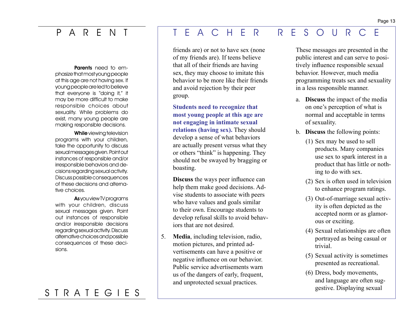Parents need to emphasize that most young people at this age are not having sex. If young people are led to believe that everyone is "doing it," it may be more difficult to make responsible choices about sexuality. While problems do exist, many young people are making responsible decisions.

While viewing television programs with your children, take the opportunity to discuss sexual messages given. Point out instances of responsible and/or irresponsible behaviors and decisions regarding sexual activity. Discuss possible consequences of these decisions and alternative choices.

As you view TV programs with your children, discuss sexual messages given. Point out instances of responsible and/or irresponsible decisions regarding sexual activity. Discuss alternative choices and possible consequences of these decisions.

### S T R A T E G I E S

### P A R E N T T E A C H E R R E S O U R C E

friends are) or not to have sex (none of my friends are). If teens believe that all of their friends are having sex, they may choose to imitate this behavior to be more like their friends and avoid rejection by their peer group.

**Students need to recognize that most young people at this age are not engaging in intimate sexual relations (having sex).** They should develop a sense of what behaviors are actually present versus what they or others "think" is happening. They should not be swayed by bragging or boasting.

**Discuss** the ways peer influence can help them make good decisions. Advise students to associate with peers who have values and goals similar to their own. Encourage students to develop refusal skills to avoid behaviors that are not desired.

5. **Media**, including television, radio, motion pictures, and printed advertisements can have a positive or negative influence on our behavior. Public service advertisements warn us of the dangers of early, frequent, and unprotected sexual practices.

These messages are presented in the public interest and can serve to positively influence responsible sexual behavior. However, much media programming treats sex and sexuality in a less responsible manner.

- a. **Discuss** the impact of the media on one's perception of what is normal and acceptable in terms of sexuality.
- b. **Discuss** the following points:
	- (1) Sex may be used to sell products. Many companies use sex to spark interest in a product that has little or nothing to do with sex.
	- (2) Sex is often used in television to enhance program ratings.
	- (3) Out-of-marriage sexual activity is often depicted as the accepted norm or as glamorous or exciting.
	- (4) Sexual relationships are often portrayed as being casual or trivial.
	- (5) Sexual activity is sometimes presented as recreational.
	- (6) Dress, body movements, and language are often suggestive. Displaying sexual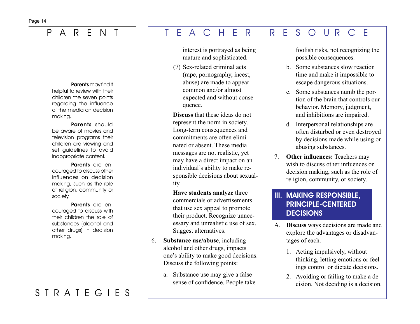#### Parents may find it helpful to review with their children the seven points regarding the influence of the media on decision making.

Parents should be aware of movies and television programs their children are viewing and set guidelines to avoid inappropriate content.

Parents are encouraged to discuss other influences on decision making, such as the role of religion, community or society.

#### Parents are encouraged to discuss with their children the role of substances (alcohol and other drugs) in decision making.

# S T R A T E G I E S

### P A R E N T T E A C H E R R E S O U R C E

interest is portrayed as being mature and sophisticated.

(7) Sex-related criminal acts (rape, pornography, incest, abuse) are made to appear common and/or almost expected and without consequence.

**Discuss** that these ideas do not represent the norm in society. Long-term consequences and commitments are often eliminated or absent. These media messages are not realistic, yet may have a direct impact on an individual's ability to make responsible decisions about sexuality.

**Have students analyze** three commercials or advertisements that use sex appeal to promote their product. Recognize unnecessary and unrealistic use of sex. Suggest alternatives.

- 6. **Substance use/abuse**, including alcohol and other drugs, impacts one's ability to make good decisions. Discuss the following points:
	- a. Substance use may give a false sense of confidence. People take

foolish risks, not recognizing the possible consequences.

- b. Some substances slow reaction time and make it impossible to escape dangerous situations.
- c. Some substances numb the portion of the brain that controls our behavior. Memory, judgment, and inhibitions are impaired.
- d. Interpersonal relationships are often disturbed or even destroyed by decisions made while using or abusing substances.
- 7. **Other influences:** Teachers may wish to discuss other influences on decision making, such as the role of religion, community, or society.

### III. MAKING RESPONSIBLE, PRINCIPLE-CENTERED **DECISIONS**

- A. **Discuss** ways decisions are made and explore the advantages or disadvantages of each.
	- 1. Acting impulsively, without thinking, letting emotions or feelings control or dictate decisions.
	- 2. Avoiding or failing to make a decision. Not deciding is a decision.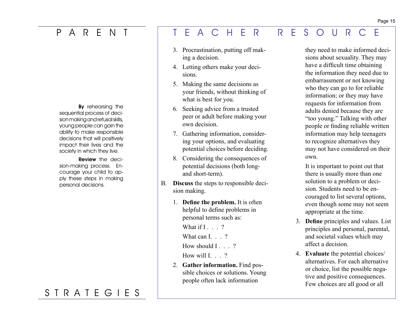By rehearsing the sequential process of decision making and refusal skills, young people can gain the ability to make responsible decisions that will positively impact their lives and the society in which they live.

Review the decision-making process. Encourage your child to apply these steps in making personal decisions.

# S T R A T E G I E S

### P A R E N T T E A C H E R R E S O U R C E

- 3. Procrastination, putting off making a decision.
- 4. Letting others make your decisions.
- 5. Making the same decisions as your friends, without thinking of what is best for you.
- 6. Seeking advice from a trusted peer or adult before making your own decision.
- 7. Gathering information, considering your options, and evaluating potential choices before deciding.
- 8. Considering the consequences of potential decisions (both longand short-term).
- B. **Discuss** the steps to responsible decision making.
	- 1. **Define the problem.** It is often helpful to define problems in personal terms such as:

What if  $I \tcdot 2$ 

What can I. . . ?

How should I . . . ?

How will  $1 \cdot 2$ 

2. **Gather information.** Find possible choices or solutions. Young people often lack information

they need to make informed decisions about sexuality. They may have a difficult time obtaining the information they need due to embarrassment or not knowing who they can go to for reliable information; or they may have requests for information from adults denied because they are "too young." Talking with other people or finding reliable written information may help teenagers to recognize alternatives they may not have considered on their own.

It is important to point out that there is usually more than one solution to a problem or decision. Students need to be encouraged to list several options, even though some may not seem appropriate at the time.

- 3. **Define** principles and values. List principles and personal, parental, and societal values which may affect a decision.
- 4. **Evaluate** the potential choices/ alternatives. For each alternative or choice, list the possible negative and positive consequences. Few choices are all good or all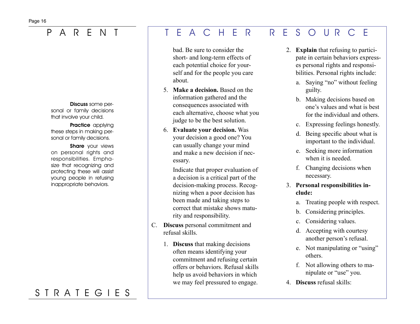Discuss some personal or family decisions that involve your child.

Practice applying these steps in making personal or family decisions.

Share your views on personal rights and responsibilities. Emphasize that recognizing and protecting these will assist young people in refusing inappropriate behaviors.

# S T R A T E G I E S

### P A R E N T T E A C H E R R E S O U R C E

bad. Be sure to consider the short- and long-term effects of each potential choice for yourself and for the people you care about.

- 5. **Make a decision.** Based on the information gathered and the consequences associated with each alternative, choose what you judge to be the best solution.
- 6. **Evaluate your decision.** Was your decision a good one? You can usually change your mind and make a new decision if necessary.

Indicate that proper evaluation of a decision is a critical part of the decision-making process. Recognizing when a poor decision has been made and taking steps to correct that mistake shows maturity and responsibility.

- C. **Discuss** personal commitment and refusal skills.
	- 1. **Discuss** that making decisions often means identifying your commitment and refusing certain offers or behaviors. Refusal skills help us avoid behaviors in which we may feel pressured to engage.
- 2. **Explain** that refusing to participate in certain behaviors expresses personal rights and responsibilities. Personal rights include:
	- a. Saying "no" without feeling guilty.
	- b. Making decisions based on one's values and what is best for the individual and others.
	- c. Expressing feelings honestly.
	- d. Being specific about what is important to the individual.
	- e. Seeking more information when it is needed.
	- f. Changing decisions when necessary.
- 3. **Personal responsibilities include:**
	- a. Treating people with respect.
	- b. Considering principles.
	- c. Considering values.
	- d. Accepting with courtesy another person's refusal.
	- e. Not manipulating or "using" others.
	- f. Not allowing others to manipulate or "use" you.
- 4. **Discuss** refusal skills: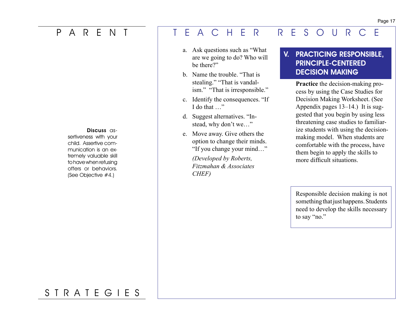Discuss assertiveness with your child. Assertive communication is an extremely valuable skill to have when refusing offers or behaviors. (See Objective #4.)

### P A R E N T T E A C H E R R E S O U R C E

- a. Ask questions such as "What are we going to do? Who will be there?"
- b. Name the trouble. "That is stealing." "That is vandalism." "That is irresponsible."
- c. Identify the consequences. "If I do that …"
- d. Suggest alternatives. "Instead, why don't we…"
- e. Move away. Give others the option to change their minds. "If you change your mind…"

*(Developed by Roberts, Fitzmahan & Associates CHEF)*

### V. PRACTICING RESPONSIBLE, PRINCIPLE-CENTERED DECISION MAKING

**Practice** the decision-making process by using the Case Studies for Decision Making Worksheet. (See Appendix pages 13–14.) It is suggested that you begin by using less threatening case studies to familiarize students with using the decisionmaking model. When students are comfortable with the process, have them begin to apply the skills to more difficult situations.

Responsible decision making is not something that just happens. Students need to develop the skills necessary to say "no."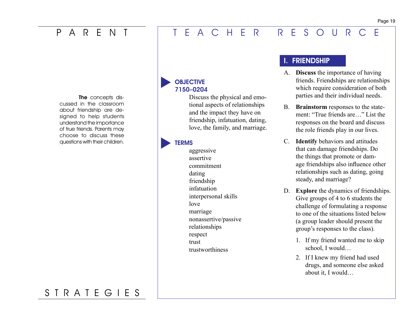### <span id="page-26-0"></span>P A R E N T T E A C H E R R E S O U R C E

The concepts discussed in the classroom about friendship are designed to help students understand the importance of true friends. Parents may choose to discuss these questions with their children.

### **OBJECTIVE** 7150–0204

Discuss the physical and emotional aspects of relationships and the impact they have on friendship, infatuation, dating, love, the family, and marriage.

### **TERMS**

aggressive assertive commitment dating friendship infatuation interpersonal skills love marriage nonassertive/passive relationships respect trust trustworthiness

### I. FRIENDSHIP

- A. **Discuss** the importance of having friends. Friendships are relationships which require consideration of both parties and their individual needs.
- B. **Brainstorm** responses to the statement: "True friends are " List the responses on the board and discuss the role friends play in our lives.
- C. **Identify** behaviors and attitudes that can damage friendships. Do the things that promote or damage friendships also influence other relationships such as dating, going steady, and marriage?
- D. **Explore** the dynamics of friendships. Give groups of 4 to 6 students the challenge of formulating a response to one of the situations listed below (a group leader should present the group's responses to the class).
	- 1. If my friend wanted me to skip school, I would…
	- 2. If I knew my friend had used drugs, and someone else asked about it, I would…

#### Page 19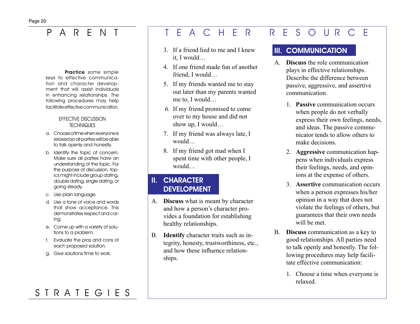#### Practice some simple

keys to effective communication and character development that will assist individuals in enhancing relationships. The following procedures may help facilitate effective communication.

#### EFFECTIVE DISCUSSION **TECHNIQUES**

- a. Choose a time when everyone is relaxed so all parties will be able to talk openly and honestly.
- b. Identify the topic of concern. Make sure all parties have an understanding of the topic. For the purpose of discussion, topics might include group dating, double dating, single dating, or going steady.
- c. Use plain language.
- d. Use a tone of voice and words that show acceptance. This demonstrates respect and caring.
- e. Come up with a variety of solutions to a problem.
- f. Evaluate the pros and cons of each proposed solution.
- g. Give solutions time to work.

# P A R E N T T E A C H E R R E S O U R C E

- 3. If a friend lied to me and I knew it, I would…
- 4. If one friend made fun of another friend, I would…
- 5. If my friends wanted me to stay out later than my parents wanted me to, I would…
- 6. If my friend promised to come over to my house and did not show up, I would…
- 7. If my friend was always late, I would…
- 8. If my friend got mad when I spent time with other people, I would…

### II. CHARACTER DEVELOPMENT

- A. **Discuss** what is meant by character and how a person's character provides a foundation for establishing healthy relationships.
- B. **Identify** character traits such as integrity, honesty, trustworthiness, etc., and how these influence relationships.

### III. COMMUNICATION

- A. **Discuss** the role communication plays in effective relationships. Describe the difference between passive, aggressive, and assertive communication.
	- 1. **Passive** communication occurs when people do not verbally express their own feelings, needs, and ideas. The passive communicator tends to allow others to make decisions.
	- 2. **Aggressive** communication happens when individuals express their feelings, needs, and opinions at the expense of others.
	- 3. **Assertive** communication occurs when a person expresses his/her opinion in a way that does not violate the feelings of others, but guarantees that their own needs will be met.
- B. **Discuss** communication as a key to good relationships. All parties need to talk openly and honestly. The following procedures may help facilitate effective communication:
	- 1. Choose a time when everyone is relaxed.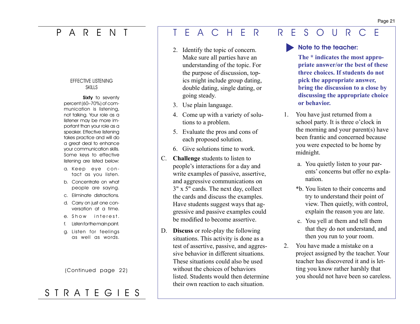#### EFFECTIVE LISTENING **SKILLS**

Sixty to seventy percent (60–70%) of communication is listening, not talking. Your role as a listener may be more important than your role as a speaker. Effective listening takes practice and will do a great deal to enhance your communication skills. Some keys to effective listening are listed below:

- a. Keep eye contact as you listen.
- b. Concentrate on what people are saying.
- c. Eliminate distractions.
- d. Carry on just one conversation at a time.
- e. Show interest.
- f. Listen for the main point.
- g. Listen for feelings as well as words.

(Continued page 22)

# S T R A T E G I E S

### P A R E N T T E A C H E R R E S O U R C E

- 2. Identify the topic of concern. Make sure all parties have an understanding of the topic. For the purpose of discussion, topics might include group dating, double dating, single dating, or going steady.
- 3. Use plain language.
- 4. Come up with a variety of solutions to a problem.
- 5. Evaluate the pros and cons of each proposed solution.
- 6. Give solutions time to work.
- C. **Challenge** students to listen to people's interactions for a day and write examples of passive, assertive, and aggressive communications on 3" x 5" cards. The next day, collect the cards and discuss the examples. Have students suggest ways that aggressive and passive examples could be modified to become assertive.
- D. **Discuss** or role-play the following situations. This activity is done as a test of assertive, passive, and aggressive behavior in different situations. These situations could also be used without the choices of behaviors listed. Students would then determine their own reaction to each situation.

Note to the teacher:

**The \* indicates the most appropriate answer/or the best of these three choices. If students do not pick the appropriate answer, bring the discussion to a close by discussing the appropriate choice or behavior.**

- 1. You have just returned from a school party. It is three o'clock in the morning and your parent(s) have been frantic and concerned because you were expected to be home by midnight.
	- a. You quietly listen to your parents' concerns but offer no explanation.
	- \*b. You listen to their concerns and try to understand their point of view. Then quietly, with control, explain the reason you are late.
	- c. You yell at them and tell them that they do not understand, and then you run to your room.
- 2. You have made a mistake on a project assigned by the teacher. Your teacher has discovered it and is letting you know rather harshly that you should not have been so careless.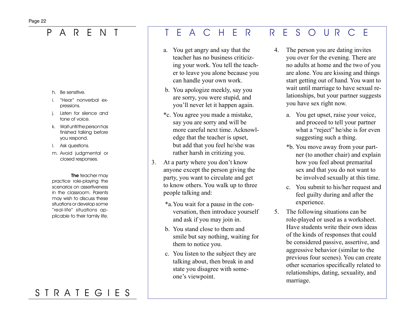- h. Be sensitive.
- "Hear" nonverbal expressions.
- Listen for silence and tone of voice.
- k. Wait until the person has finished talking before you respond.
- l. Ask questions.
- m. Avoid judgmental or closed responses.

**The teacher may** practice role-playing the scenarios on assertiveness in the classroom. Parents may wish to discuss these situations or develop some "real-life" situations applicable to their family life.

# S T R A T E G I E S

### P A R E N T T E A C H E R R E S O U R C E

- a. You get angry and say that the teacher has no business criticizing your work. You tell the teacher to leave you alone because you can handle your own work.
- b. You apologize meekly, say you are sorry, you were stupid, and you'll never let it happen again.
- \*c. You agree you made a mistake, say you are sorry and will be more careful next time. Acknowledge that the teacher is upset, but add that you feel he/she was rather harsh in critizing you.
- 3. At a party where you don't know anyone except the person giving the party, you want to circulate and get to know others. You walk up to three people talking and:
	- \*a. You wait for a pause in the conversation, then introduce yourself and ask if you may join in.
	- b. You stand close to them and smile but say nothing, waiting for them to notice you.
	- c. You listen to the subject they are talking about, then break in and state you disagree with someone's viewpoint.
- 4. The person you are dating invites you over for the evening. There are no adults at home and the two of you are alone. You are kissing and things start getting out of hand. You want to wait until marriage to have sexual relationships, but your partner suggests you have sex right now.
	- a. You get upset, raise your voice, and proceed to tell your partner what a "reject" he/she is for even suggesting such a thing.
	- \*b. You move away from your partner (to another chair) and explain how you feel about premarital sex and that you do not want to be involved sexually at this time.
	- c. You submit to his/her request and feel guilty during and after the experience.
- 5. The following situations can be role-played or used as a worksheet. Have students write their own ideas of the kinds of responses that could be considered passive, assertive, and aggressive behavior (similar to the previous four scenes). You can create other scenarios specifically related to relationships, dating, sexuality, and marriage.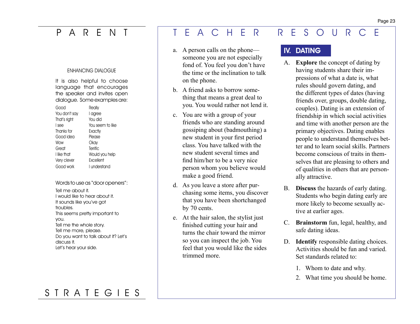#### ENHANCING DIALOGUE

It is also helpful to choose language that encourages the speaker and invites open dialogue. Some examples are:

| Good          | Really           |
|---------------|------------------|
| You don't say | l agree          |
| That's right  | You did          |
| l see         | You seem to like |
| Thanks for    | Exactly          |
| Good idea     | Please           |
| Wow           | Okay             |
| Great         | <b>Terrific</b>  |
| I like that   | Would you help   |
| Very clever   | Fxcellent        |
| Good work     | Lunderstand      |

#### Words to use as "door openers":

Tell me about it. I would like to hear about it. It sounds like you've got troubles. This seems pretty important to you. Tell me the whole story. Tell me more, please. Do you want to talk about it? Let's discuss it. Let's hear your side.

# S T R A T E G I E S

# P A R E N T T E A C H E R R E S O U R C E

- a. A person calls on the phone someone you are not especially fond of. You feel you don't have the time or the inclination to talk on the phone.
- b. A friend asks to borrow something that means a great deal to you. You would rather not lend it.
- c. You are with a group of your friends who are standing around gossiping about (badmouthing) a new student in your first period class. You have talked with the new student several times and find him/her to be a very nice person whom you believe would make a good friend.
- d. As you leave a store after purchasing some items, you discover that you have been shortchanged by 70 cents.
- e. At the hair salon, the stylist just finished cutting your hair and turns the chair toward the mirror so you can inspect the job. You feel that you would like the sides trimmed more.

### IV. DATING

- A. **Explore** the concept of dating by having students share their impressions of what a date is, what rules should govern dating, and the different types of dates (having friends over, groups, double dating, couples). Dating is an extension of friendship in which social activities and time with another person are the primary objectives. Dating enables people to understand themselves better and to learn social skills. Partners become conscious of traits in themselves that are pleasing to others and of qualities in others that are personally attractive.
- B. **Discuss** the hazards of early dating. Students who begin dating early are more likely to become sexually active at earlier ages.
- C. **Brainstorm** fun, legal, healthy, and safe dating ideas.
- D. **Identify** responsible dating choices. Activities should be fun and varied. Set standards related to:
	- 1. Whom to date and why.
	- 2. What time you should be home.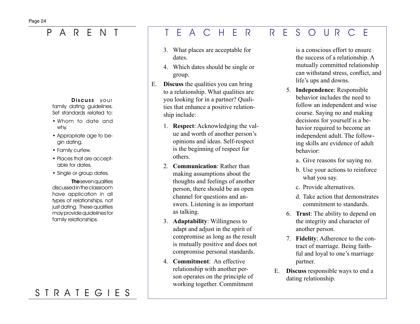Discuss your family dating guidelines. Set standards related to:

- Whom to date and why.
- Appropriate age to begin dating.
- Family curfew.
- Places that are acceptable for dates.
- Single or group dates.

**The seven qualities** discussed in the classroom have application in all types of relationships, not just dating. These qualities may provide quidelines for family relationships.

# S T R A T E G I E S

### P A R E N T T E A C H E R R E S O U R C E

- 3. What places are acceptable for dates.
- 4. Which dates should be single or group.
- E. **Discuss** the qualities you can bring to a relationship. What qualities are you looking for in a partner? Qualities that enhance a positive relationship include:
	- 1. **Respect**: Acknowledging the value and worth of another person's opinions and ideas. Self-respect is the beginning of respect for others.
	- 2. **Communication**: Rather than making assumptions about the thoughts and feelings of another person, there should be an open channel for questions and answers. Listening is as important as talking.
	- 3. **Adaptability**: Willingness to adapt and adjust in the spirit of compromise as long as the result is mutually positive and does not compromise personal standards.
	- 4. **Commitment**: An effective relationship with another person operates on the principle of working together. Commitment

is a conscious effort to ensure the success of a relationship. A mutually committed relationship can withstand stress, conflict, and life's ups and downs.

- 5. **Independence**: Responsible behavior includes the need to follow an independent and wise course. Saying no and making decisions for yourself is a behavior required to become an independent adult. The following skills are evidence of adult behavior:
	- a. Give reasons for saying no.
	- b. Use your actions to reinforce what you say.
	- c. Provide alternatives.
	- d. Take action that demonstrates commitment to standards.
- 6. **Trust**: The ability to depend on the integrity and character of another person.
- 7. **Fidelity**: Adherence to the contract of marriage. Being faithful and loyal to one's marriage partner.
- E. **Discuss** responsible ways to end a dating relationship.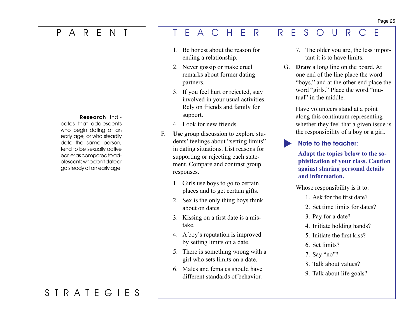#### Research indi-

cates that adolescents who begin dating at an early age, or who steadily date the same person, tend to be sexually active earlier as compared to adolescents who don't date or go steady at an early age.

### S T R A T E G I E S

### P A R E N T T E A C H E R R E S O U R C E

- 1. Be honest about the reason for ending a relationship.
- 2. Never gossip or make cruel remarks about former dating partners.
- 3. If you feel hurt or rejected, stay involved in your usual activities. Rely on friends and family for support.
- 4 Look for new friends.
- F. Use group discussion to explore students' feelings about "setting limits" in dating situations. List reasons for supporting or rejecting each statement. Compare and contrast group responses.
	- 1. Girls use boys to go to certain places and to get certain gifts.
	- 2. Sex is the only thing boys think about on dates.
	- 3. Kissing on a first date is a mistake.
	- 4. A boy's reputation is improved by setting limits on a date.
	- 5. There is something wrong with a girl who sets limits on a date.
	- 6. Males and females should have different standards of behavior.
- 7. The older you are, the less important it is to have limits.
- G. **Draw** a long line on the board. At one end of the line place the word "boys," and at the other end place the word "girls." Place the word "mutual" in the middle.

 Have volunteers stand at a point along this continuum representing whether they feel that a given issue is the responsibility of a boy or a girl.

Note to the teacher:

**Adapt the topics below to the sophistication of your class. Caution against sharing personal details and information.**

Whose responsibility is it to:

- 1. Ask for the first date?
- 2. Set time limits for dates?
- 3. Pay for a date?
- 4. Initiate holding hands?
- 5. Initiate the first kiss?
- 6. Set limits?
- 7. Say "no"?
- 8. Talk about values?
- 9. Talk about life goals?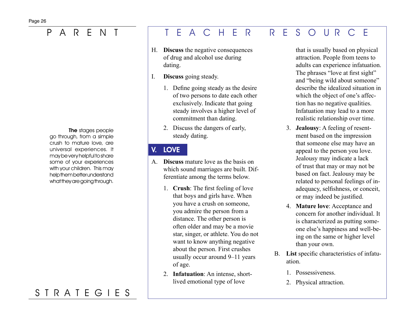### Page 26

The stages people go through, from a simple crush to mature love, are universal experiences. It may be very helpful to share some of your experiences with your children. This may help them better understand what they are going through.

# S T R A T E G I E S

### P A R E N T T E A C H E R R E S O U R C E

- H. **Discuss** the negative consequences of drug and alcohol use during dating.
- I. **Discuss** going steady.
	- 1. Define going steady as the desire of two persons to date each other exclusively. Indicate that going steady involves a higher level of commitment than dating.
	- 2. Discuss the dangers of early, steady dating.

### V. LOVE

- A. **Discuss** mature love as the basis on which sound marriages are built. Differentiate among the terms below.
	- 1. **Crush**: The first feeling of love that boys and girls have. When you have a crush on someone, you admire the person from a distance. The other person is often older and may be a movie star, singer, or athlete. You do not want to know anything negative about the person. First crushes usually occur around 9–11 years of age.
	- 2. **Infatuation**: An intense, shortlived emotional type of love

that is usually based on physical attraction. People from teens to adults can experience infatuation. The phrases "love at first sight" and "being wild about someone" describe the idealized situation in which the object of one's affection has no negative qualities. Infatuation may lead to a more realistic relationship over time.

- 3. **Jealousy**: A feeling of resentment based on the impression that someone else may have an appeal to the person you love. Jealousy may indicate a lack of trust that may or may not be based on fact. Jealousy may be related to personal feelings of inadequacy, selfishness, or conceit, or may indeed be justified.
- 4. **Mature love**: Acceptance and concern for another individual. It is characterized as putting someone else's happiness and well-being on the same or higher level than your own.
- B. **List** specific characteristics of infatuation.
	- 1. Possessiveness.
	- 2. Physical attraction.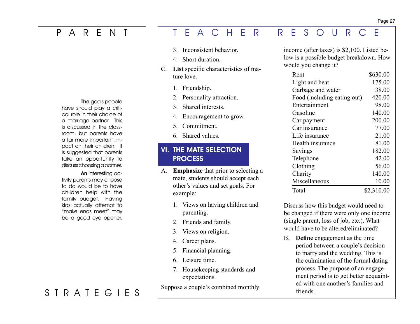The goals people have should play a critical role in their choice of a marriage partner. This is discussed in the classroom, but parents have a far more important impact on their children. It is suggested that parents take an opportunity to discuss choosing a partner.

An interesting activity parents may choose to do would be to have children help with the family budget. Having kids actually attempt to "make ends meet" may be a good eye opener.

### S T R A T E G I E S

### P A R E N T T E A C H E R R E S O U R C E

- 3. Inconsistent behavior.
- 4 Short duration.
- C. **List** specific characteristics of mature love.
	- 1. Friendship.
	- 2. Personality attraction.
	- 3. Shared interests.
	- 4. Encouragement to grow.
	- 5. Commitment.
	- 6. Shared values.

### VI. THE MATE SELECTION **PROCESS**

- A. **Emphasize** that prior to selecting a mate, students should accept each other's values and set goals. For example:
	- 1. Views on having children and parenting.
	- 2. Friends and family.
	- 3. Views on religion.
	- 4. Career plans.
	- 5. Financial planning.
	- 6. Leisure time.
	- 7. Housekeeping standards and expectations.

Suppose a couple's combined monthly

income (after taxes) is \$2,100. Listed below is a possible budget breakdown. How would you change it?

| Rent                        | \$630.00   |
|-----------------------------|------------|
| Light and heat              | 175.00     |
| Garbage and water           | 38.00      |
| Food (including eating out) | 420.00     |
| Entertainment               | 98.00      |
| Gasoline                    | 140.00     |
| Car payment                 | 200.00     |
| Car insurance               | 77.00      |
| Life insurance              | 21.00      |
| Health insurance            | 81.00      |
| Savings                     | 182.00     |
| Telephone                   | 42.00      |
| Clothing                    | 56.00      |
| Charity                     | 140.00     |
| Miscellaneous               | 10.00      |
| Total                       | \$2,310.00 |

Discuss how this budget would need to be changed if there were only one income (single parent, loss of job, etc.). What would have to be altered/eliminated?

B. **Define** engagement as the time period between a couple's decision to marry and the wedding. This is the culmination of the formal dating process. The purpose of an engagement period is to get better acquainted with one another's families and friends.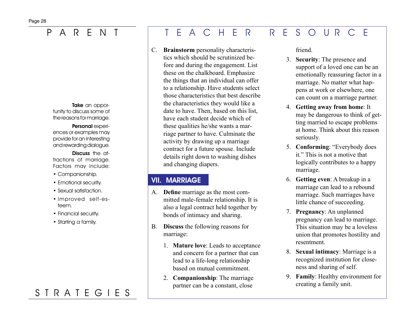Take an opportunity to discuss some of the reasons for marriage.

Personal experiences or examples may provide for an interesting and rewarding dialogue.

Discuss the attractions of marriage. Factors may include:

- Companionship.
- Emotional security.
- Sexual satisfaction.
- Improved self-esteem.
- Financial security.
- Starting a family.

# S T R A T E G I E S

### P A R E N T T E A C H E R R E S O U R C E

C. **Brainstorm** personality characteristics which should be scrutinized before and during the engagement. List these on the chalkboard. Emphasize the things that an individual can offer to a relationship. Have students select those characteristics that best describe the characteristics they would like a date to have. Then, based on this list, have each student decide which of these qualities he/she wants a marriage partner to have. Culminate the activity by drawing up a marriage contract for a future spouse. Include details right down to washing dishes and changing diapers.

### VII. MARRIAGE

- A. **Define** marriage as the most committed male-female relationship. It is also a legal contract held together by bonds of intimacy and sharing.
- B. **Discuss** the following reasons for marriage:
	- 1. **Mature love**: Leads to acceptance and concern for a partner that can lead to a life-long relationship based on mutual commitment.
	- 2. **Companionship**: The marriage partner can be a constant, close

friend.

- 3. **Security**: The presence and support of a loved one can be an emotionally reassuring factor in a marriage. No matter what happens at work or elsewhere, one can count on a marriage partner.
- 4. **Getting away from home**: It may be dangerous to think of getting married to escape problems at home. Think about this reason seriously.
- 5. **Conforming**: "Everybody does it." This is not a motive that logically contributes to a happy marriage.
- 6. **Getting even**: A breakup in a marriage can lead to a rebound marriage. Such marriages have little chance of succeeding.
- 7. **Pregnancy**: An unplanned pregnancy can lead to marriage. This situation may be a loveless union that promotes hostility and resentment.
- 8. **Sexual intimacy**: Marriage is a recognized institution for closeness and sharing of self.
- 9. **Family**: Healthy environment for creating a family unit.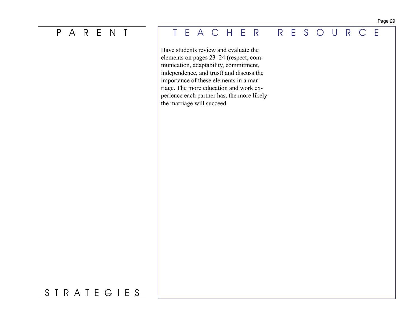Have students review and evaluate the elements on pages 23–24 (respect, communication, adaptability, commitment, independence, and trust) and discuss the importance of these elements in a marriage. The more education and work experience each partner has, the more likely the marriage will succeed.

### Page 29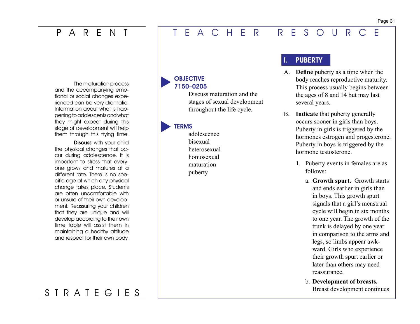The maturation process and the accompanying emotional or social changes experienced can be very dramatic. Information about what is happening to adolescents and what they might expect during this stage of development will help them through this trying time.

Discuss with your child the physical changes that occur during adolescence. It is important to stress that everyone grows and matures at a different rate. There is no specific age at which any physical change takes place. Students are often uncomfortable with or unsure of their own development. Reassuring your children that they are unique and will develop according to their own time table will assist them in maintaining a healthy attitude and respect for their own body.

### **OBJECTIVE** 7150–0205

Discuss maturation and the stages of sexual development throughout the life cycle.

### **TERMS**

adolescence bisexual heterosexual homosexual maturation puberty 

## **PUBERTY**

- A. **Define** puberty as a time when the body reaches reproductive maturity. This process usually begins between the ages of 8 and 14 but may last several years.
- B. **Indicate** that puberty generally occurs sooner in girls than boys. Puberty in girls is triggered by the hormones estrogen and progesterone. Puberty in boys is triggered by the hormone testosterone.
	- 1. Puberty events in females are as follows:
		- a. **Growth spurt.** Growth starts and ends earlier in girls than in boys. This growth spurt signals that a girl's menstrual cycle will begin in six months to one year. The growth of the trunk is delayed by one year in comparison to the arms and legs, so limbs appear awkward. Girls who experience their growth spurt earlier or later than others may need reassurance.
		- b. **Development of breasts.**  Breast development continues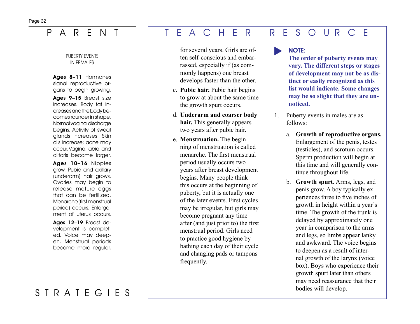### PUBERTY EVENTS IN FEMALES

Ages 8-11 Hormones signal reproductive organs to begin growing.

Ages 9-15 Breast size increases. Body fat increases and the body becomes rounder in shape. Normal vaginal discharge begins. Activity of sweat glands increases. Skin oils increase; acne may occur. Vagina, labia, and clitoris become larger.

Ages 10–16 Nipples grow. Pubic and axillary (underarm) hair grows. Ovaries may begin to release mature eggs that can be fertilized. Menarche (first menstrual period) occurs. Enlargement of uterus occurs.

Ages 12-19 Breast development is completed. Voice may deepen. Menstrual periods become more regular.

## P A R E N T T E A C H E R R E S O U R C E

for several years. Girls are often self-conscious and embarrassed, especially if (as commonly happens) one breast develops faster than the other.

- c. **Pubic hair.** Pubic hair begins to grow at about the same time the growth spurt occurs.
- d. **Underarm and coarser body hair.** This generally appears two years after pubic hair.
- e. **Menstruation.** The beginning of menstruation is called menarche. The first menstrual period usually occurs two years after breast development begins. Many people think this occurs at the beginning of puberty, but it is actually one of the later events. First cycles may be irregular, but girls may become pregnant any time after (and just prior to) the first menstrual period. Girls need to practice good hygiene by bathing each day of their cycle and changing pads or tampons frequently.

## NOTE:

**The order of puberty events may vary. The different steps or stages of development may not be as distinct or easily recognized as this list would indicate. Some changes may be so slight that they are unnoticed.**

- 1. Puberty events in males are as follows:
	- a. **Growth of reproductive organs.**  Enlargement of the penis, testes (testicles), and scrotum occurs. Sperm production will begin at this time and will generally continue throughout life.
	- b. **Growth spurt.** Arms, legs, and penis grow. A boy typically experiences three to five inches of growth in height within a year's time. The growth of the trunk is delayed by approximately one year in comparison to the arms and legs, so limbs appear lanky and awkward. The voice begins to deepen as a result of internal growth of the larynx (voice box). Boys who experience their growth spurt later than others may need reassurance that their bodies will develop.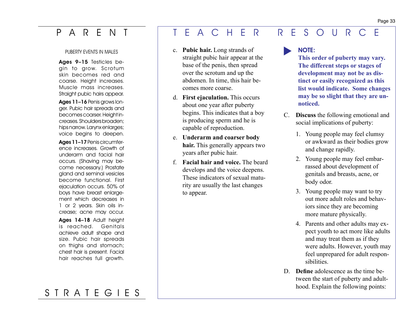### PUBERTY EVENTS IN MALES

Ages 9–15 Testicles begin to grow. Scrotum skin becomes red and coarse. Height increases. Muscle mass increases. Straight pubic hairs appear.

Ages 11–16 Penis grows longer. Pubic hair spreads and becomes coarser. Height increases. Shoulders broaden; hips narrow. Larynx enlarges; voice begins to deepen.

Ages 11–17 Penis circumference increases. Growth of underarm and facial hair occurs. (Shaving may become necessary.) Prostate gland and seminal vesicles become functional. First ejaculation occurs. 50% of boys have breast enlargement which decreases in 1 or 2 years. Skin oils increase; acne may occur.

Ages 14–18 Adult height is reached. Genitals achieve adult shape and size. Pubic hair spreads on thighs and stomach; chest hair is present. Facial hair reaches full growth.

# S T R A T E G I E S

## P A R E N T T E A C H E R R E S O U R C E

- c. **Pubic hair.** Long strands of straight pubic hair appear at the base of the penis, then spread over the scrotum and up the abdomen. In time, this hair becomes more coarse.
- d. **First ejaculation.** This occurs about one year after puberty begins. This indicates that a boy is producing sperm and he is capable of reproduction.
- e. **Underarm and coarser body hair.** This generally appears two years after pubic hair.
- f. **Facial hair and voice.** The beard develops and the voice deepens. These indicators of sexual maturity are usually the last changes to appear.

## NOTE:

**This order of puberty may vary. The different steps or stages of development may not be as distinct or easily recognized as this list would indicate. Some changes may be so slight that they are unnoticed.**

- C. **Discuss** the following emotional and social implications of puberty:
	- 1. Young people may feel clumsy or awkward as their bodies grow and change rapidly.
	- 2. Young people may feel embarrassed about development of genitals and breasts, acne, or body odor.
	- 3. Young people may want to try out more adult roles and behaviors since they are becoming more mature physically.
	- 4. Parents and other adults may expect youth to act more like adults and may treat them as if they were adults. However, youth may feel unprepared for adult responsibilities.
- D. **Define** adolescence as the time between the start of puberty and adulthood. Explain the following points: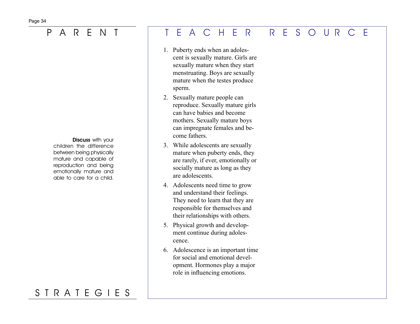Discuss with your children the difference between being physically mature and capable of reproduction and being emotionally mature and able to care for a child.

# S T R A T E G I E S

## P A R E N T T E A C H E R R E S O U R C E

- 1. Puberty ends when an adolescent is sexually mature. Girls are sexually mature when they start menstruating. Boys are sexually mature when the testes produce sperm.
- 2. Sexually mature people can reproduce. Sexually mature girls can have babies and become mothers. Sexually mature boys can impregnate females and become fathers.
- 3. While adolescents are sexually mature when puberty ends, they are rarely, if ever, emotionally or socially mature as long as they are adolescents.
- 4. Adolescents need time to grow and understand their feelings. They need to learn that they are responsible for themselves and their relationships with others.
- 5. Physical growth and development continue during adolescence.
- 6. Adolescence is an important time for social and emotional development. Hormones play a major role in influencing emotions.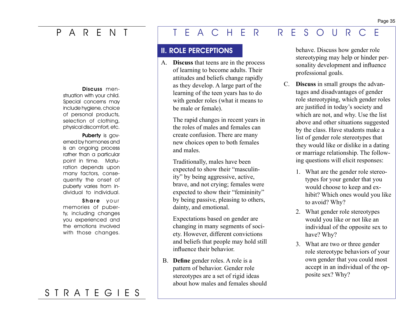### Discuss men-

struation with your child. Special concerns may include hygiene, choice of personal products, selection of clothing, physical discomfort, etc.

Puberty is governed by hormones and is an ongoing process rather than a particular point in time. Maturation depends upon many factors, consequently the onset of puberty varies from individual to individual.

### Share your memories of puberty, including changes you experienced and the emotions involved with those changes.

# S T R A T E G I E S

# P A R E N T T E A C H E R R E S O U R C E

### II. ROLE PERCEPTIONS

A. **Discuss** that teens are in the process of learning to become adults. Their attitudes and beliefs change rapidly as they develop. A large part of the learning of the teen years has to do with gender roles (what it means to be male or female).

> The rapid changes in recent years in the roles of males and females can create confusion. There are many new choices open to both females and males.

> Traditionally, males have been expected to show their "masculinity" by being aggressive, active, brave, and not crying; females were expected to show their "femininity" by being passive, pleasing to others, dainty, and emotional.

 Expectations based on gender are changing in many segments of society. However, different convictions and beliefs that people may hold still influence their behavior.

B. **Define** gender roles. A role is a pattern of behavior. Gender role stereotypes are a set of rigid ideas about how males and females should behave. Discuss how gender role stereotyping may help or hinder personality development and influence professional goals.

- C. **Discuss** in small groups the advantages and disadvantages of gender role stereotyping, which gender roles are justified in today's society and which are not, and why. Use the list above and other situations suggested by the class. Have students make a list of gender role stereotypes that they would like or dislike in a dating or marriage relationship. The following questions will elicit responses:
	- 1. What are the gender role stereotypes for your gender that you would choose to keep and exhibit? Which ones would you like to avoid? Why?
	- 2. What gender role stereotypes would you like or not like an individual of the opposite sex to have? Why?
	- 3. What are two or three gender role stereotype behaviors of your own gender that you could most accept in an individual of the opposite sex? Why?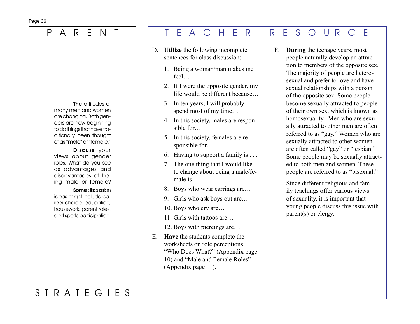The attitudes of many men and women are changing. Both genders are now beginning to do things that have traditionally been thought of as "male" or "female."

Discuss your views about gender roles. What do you see as advantages and disadvantages of being male or female?

Some discussion ideas might include career choice, education, housework, parent roles, and sports participation.

## S T R A T E G I E S

## P A R E N T T E A C H E R R E S O U R C E

- D. **Utilize** the following incomplete sentences for class discussion:
	- 1. Being a woman/man makes me feel…
	- 2. If I were the opposite gender, my life would be different because…
	- 3. In ten years, I will probably spend most of my time…
	- 4. In this society, males are responsible for
	- 5. In this society, females are responsible for…
	- 6. Having to support a family is  $\dots$
	- 7. The one thing that I would like to change about being a male/female is
	- 8. Boys who wear earrings are...
	- 9. Girls who ask boys out are...
	- 10. Boys who cry are…
	- 11. Girls with tattoos are
	- 12. Boys with piercings are…
- E. **Have** the students complete the worksheets on role perceptions, "Who Does What?" (Appendix page 10) and "Male and Female Roles" (Appendix page 11).

F. **During** the teenage years, most people naturally develop an attraction to members of the opposite sex. The majority of people are heterosexual and prefer to love and have sexual relationships with a person of the opposite sex. Some people become sexually attracted to people of their own sex, which is known as homosexuality. Men who are sexually attracted to other men are often referred to as "gay." Women who are sexually attracted to other women are often called "gay" or "lesbian." Some people may be sexually attracted to both men and women. These people are referred to as "bisexual."

> Since different religious and family teachings offer various views of sexuality, it is important that young people discuss this issue with parent(s) or clergy.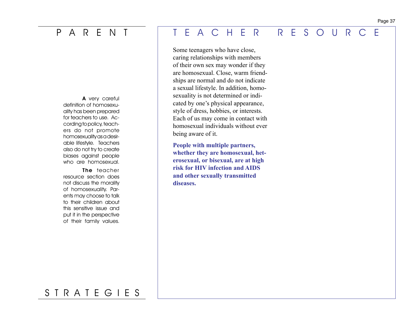A very careful definition of homosexuality has been prepared for teachers to use. According to policy, teachers do not promote homosexuality as a desirable lifestyle. Teachers also do not try to create biases against people who are homosexual.

The teacher resource section does not discuss the morality of homosexuality. Parents may choose to talk to their children about this sensitive issue and put it in the perspective of their family values.

# P A R E N T T E A C H E R R E S O U R C E

 Some teenagers who have close, caring relationships with members of their own sex may wonder if they are homosexual. Close, warm friendships are normal and do not indicate a sexual lifestyle. In addition, homosexuality is not determined or indicated by one's physical appearance, style of dress, hobbies, or interests. Each of us may come in contact with homosexual individuals without ever being aware of it.

**People with multiple partners, whether they are homosexual, heterosexual, or bisexual, are at high risk for HIV infection and AIDS and other sexually transmitted diseases.**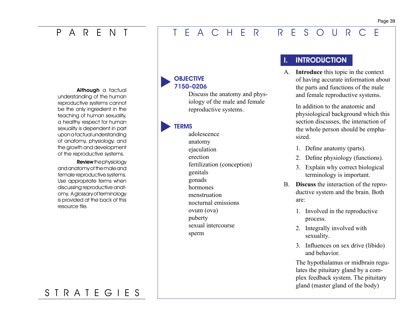Although a factual understanding of the human reproductive systems cannot be the only ingredient in the teaching of human sexuality, a healthy respect for human sexuality is dependent in part upon a factual understanding of anatomy, physiology, and the growth and development of the reproductive systems.

Review the physiology and anatomy of the male and female reproductive systems. Use appropriate terms when discussing reproductive anatomy. A glossary of terminology is provided at the back of this resource file.

# S T R A T E G I E S

### **OBJECTIVE** 7150–0206

Discuss the anatomy and physiology of the male and female reproductive systems.

### **TERMS**

adolescence anatomy ejaculation erection fertilization (conception) genitals gonads hormones menstruation nocturnal emissions ovum (ova) puberty sexual intercourse sperm

## **INTRODUCTION**

A. **Introduce** this topic in the context of having accurate information about the parts and functions of the male and female reproductive systems.

> In addition to the anatomic and physiological background which this section discusses, the interaction of the whole person should be emphasized.

- 1. Define anatomy (parts).
- 2. Define physiology (functions).
- 3. Explain why correct biological terminology is important.
- B. **Discuss** the interaction of the reproductive system and the brain. Both are:
	- 1. Involved in the reproductive process.
	- 2. Integrally involved with sexuality.
	- 3. Influences on sex drive (libido) and behavior.

The hypothalamus or midbrain regulates the pituitary gland by a complex feedback system. The pituitary gland (master gland of the body)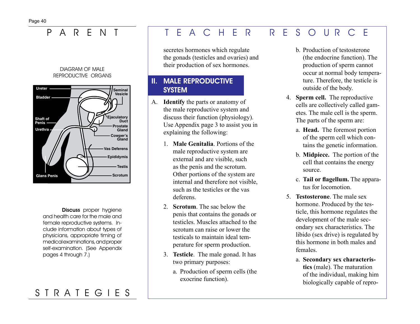P ARFN

### **DIAGRAM OF MALE** REPRODUCTIVE ORGANS



**Discuss** proper hygiene and health care for the male and female reproductive systems. Include information about types of physicians, appropriate timing of medical examinations, and proper self-examination. (See Appendix pages 4 through 7.)

# STRATEGIES

### $\overline{S}$ F A C H F R R E OUR F  $\bigcap$

secretes hormones which regulate the gonads (testicles and ovaries) and their production of sex hormones.

## **II. MALE REPRODUCTIVE SYSTEM**

- A. **Identify** the parts or anatomy of the male reproductive system and discuss their function (physiology). Use Appendix page 3 to assist you in explaining the following:
	- 1. Male Genitalia. Portions of the male reproductive system are external and are visible, such as the penis and the scrotum. Other portions of the system are internal and therefore not visible. such as the testicles or the vas deferens
	- 2. Scrotum The sac below the penis that contains the gonads or testicles. Muscles attached to the scrotum can raise or lower the testicals to maintain ideal temperature for sperm production.
	- 3. Testicle. The male gonad. It has two primary purposes:
		- a. Production of sperm cells (the exocrine function).
- **b** Production of testosterone (the endocrine function). The production of sperm cannot occur at normal body temperature. Therefore, the testicle is outside of the body.
- 4. Sperm cell. The reproductive cells are collectively called gametes. The male cell is the sperm. The parts of the sperm are:
	- a. Head. The foremost portion of the sperm cell which contains the genetic information.
	- b. Midpiece. The portion of the cell that contains the energy source.
	- c. Tail or flagellum. The apparatus for locomotion.
- 5. Testosterone. The male sex hormone. Produced by the testicle, this hormone regulates the development of the male secondary sex characteristics. The libido (sex drive) is regulated by this hormone in both males and females
	- a. Secondary sex characteristics (male). The maturation of the individual, making him biologically capable of repro-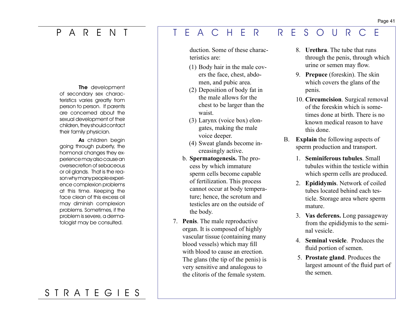The development of secondary sex characteristics varies greatly from person to person. If parents are concerned about the sexual development of their children, they should contact their family physician.

As children begin going through puberty, the hormonal changes they experience may also cause an oversecretion of sebaceous or oil glands. That is the reason why many people experience complexion problems at this time. Keeping the face clean of this excess oil may diminish complexion problems. Sometimes, if the problem is severe, a dermatologist may be consulted.

### waist.

(3) Larynx (voice box) elongates, making the male voice deeper.

duction. Some of these charac-

(1) Body hair in the male covers the face, chest, abdomen, and pubic area. (2) Deposition of body fat in the male allows for the chest to be larger than the

teristics are:

- (4) Sweat glands become increasingly active.
- b. **Spermatogenesis.** The process by which immature sperm cells become capable of fertilization. This process cannot occur at body temperature; hence, the scrotum and testicles are on the outside of the body.
- 7. **Penis**. The male reproductive organ. It is composed of highly vascular tissue (containing many blood vessels) which may fill with blood to cause an erection. The glans (the tip of the penis) is very sensitive and analogous to the clitoris of the female system.
- 8. **Urethra**. The tube that runs through the penis, through which urine or semen may flow.
- 9. **Prepuce** (foreskin). The skin which covers the glans of the penis.
- 10. **Circumcision**. Surgical removal of the foreskin which is sometimes done at birth. There is no known medical reason to have this done.
- B. **Explain** the following aspects of sperm production and transport.
	- 1. **Seminiferous tubules**. Small tubules within the testicle within which sperm cells are produced.
	- 2. **Epididymis**. Network of coiled tubes located behind each testicle. Storage area where sperm mature.
	- 3. **Vas deferens.** Long passageway from the epididymis to the seminal vesicle.
	- 4. **Seminal vesicle**. Produces the fluid portion of semen.
	- 5. **Prostate gland**. Produces the largest amount of the fluid part of the semen.

### Page 41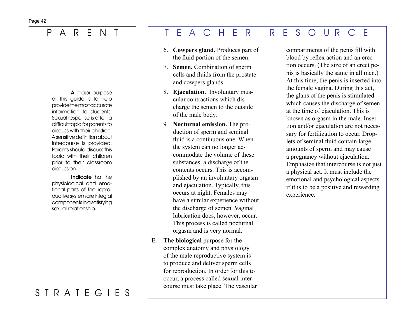A major purpose of this guide is to help provide the most accurate information to students. Sexual response is often a difficult topic for parents to discuss with their children. A sensitive definition about intercourse is provided. Parents should discuss this topic with their children prior to their classroom discussion.

Indicate that the physiological and emotional parts of the reproductive system are integral components in a satisfying sexual relationship.

# S T R A T E G I E S

## P A R E N T T E A C H E R R E S O U R C E

- 6. **Cowpers gland.** Produces part of the fluid portion of the semen.
- 7. **Semen.** Combination of sperm cells and fluids from the prostate and cowpers glands.
- 8. **Ejaculation.** Involuntary muscular contractions which discharge the semen to the outside of the male body.
- 9. **Nocturnal emission.** The production of sperm and seminal fluid is a continuous one. When the system can no longer accommodate the volume of these substances, a discharge of the contents occurs. This is accomplished by an involuntary orgasm and ejaculation. Typically, this occurs at night. Females may have a similar experience without the discharge of semen. Vaginal lubrication does, however, occur. This process is called nocturnal orgasm and is very normal.
- E. **The biological** purpose for the complex anatomy and physiology of the male reproductive system is to produce and deliver sperm cells for reproduction. In order for this to occur, a process called sexual intercourse must take place. The vascular

compartments of the penis fill with blood by reflex action and an erection occurs. (The size of an erect penis is basically the same in all men.) At this time, the penis is inserted into the female vagina. During this act, the glans of the penis is stimulated which causes the discharge of semen at the time of ejaculation. This is known as orgasm in the male. Insertion and/or ejaculation are not necessary for fertilization to occur. Droplets of seminal fluid contain large amounts of sperm and may cause a pregnancy without ejaculation. Emphasize that intercourse is not just a physical act. It must include the emotional and psychological aspects if it is to be a positive and rewarding experience.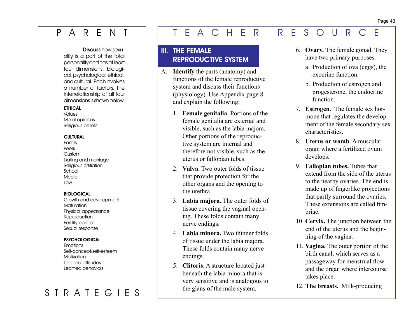### Discuss how sexu-

ality is a part of the total personality and has at least four dimensions: biological, psychological, ethical, and cultural. Each involves a number of factors. The interrelationship of all four dimensions is shown below.

### **FTHICAL**

Values Moral opinions Religious beliefs

### **CULTURAL**

Family Peers Custom Dating and marriage Religious affiliation School Media Law

### **BIOLOGICAL**

Growth and development **Maturation** Physical appearance **Reproduction** Fertility control Sexual response

### **PSYCHOLOGICAL**

Emotions Self-concept/self-esteem **Motivation** Learned attitudes Learned behaviors

# S T R A T E G I E S

# P A R E N T T E A C H E R R E S O U R C E

## III. THE FEMALE REPRODUCTIVE SYSTEM

- A. **Identify** the parts (anatomy) and functions of the female reproductive system and discuss their functions (physiology). Use Appendix page 8 and explain the following:
	- 1. **Female genitalia**. Portions of the female genitalia are external and visible, such as the labia majora. Other portions of the reproductive system are internal and therefore not visible, such as the uterus or fallopian tubes.
	- 2. **Vulva**. Two outer folds of tissue that provide protection for the other organs and the opening to the urethra.
	- 3. **Labia majora**. The outer folds of tissue covering the vaginal opening. These folds contain many nerve endings.
	- 4. **Labia minora.** Two thinner folds of tissue under the labia majora. These folds contain many nerve endings.
	- 5. **Clitoris**. A structure located just beneath the labia minora that is very sensitive and is analogous to the glans of the male system.
- 6. **Ovary.** The female gonad. They have two primary purposes.
	- a. Production of ova (eggs), the exocrine function.
	- b. Production of estrogen and progesterone, the endocrine function.
- 7. **Estrogen**. The female sex hormone that regulates the development of the female secondary sex characteristics.
- 8. **Uterus or womb**. A muscular organ where a fertilized ovum develops.
- 9. **Fallopian tubes.** Tubes that extend from the side of the uterus to the nearby ovaries. The end is made up of fingerlike projections that partly surround the ovaries. These extensions are called fimbriae.
- 10. **Cervix.** The junction between the end of the uterus and the beginning of the vagina.
- 11. **Vagina.** The outer portion of the birth canal, which serves as a passageway for menstrual flow and the organ where intercourse takes place.
- 12. **The breasts.** Milk-producing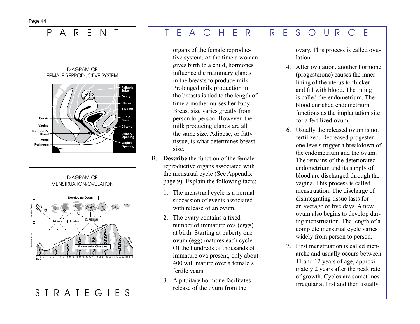### $\mathsf{P}$ R E N  $\mathsf{A}$





# STRATEGIES

### F A C H F  $\overline{R}$ E. F  $\mathsf{R}$  $S$  $\bigcirc$ UR  $\bigcap$

organs of the female reproductive system. At the time a woman gives birth to a child, hormones influence the mammary glands in the breasts to produce milk. Prolonged milk production in the breasts is tied to the length of time a mother nurses her baby. Breast size varies greatly from person to person. However, the milk producing glands are all the same size. Adipose, or fatty tissue, is what determines breast size.

- B. **Describe** the function of the female reproductive organs associated with the menstrual cycle (See Appendix page 9). Explain the following facts:
	- 1. The menstrual cycle is a normal succession of events associated with release of an ovum.
	- 2. The ovary contains a fixed number of immature ova (eggs) at birth. Starting at puberty one ovum (egg) matures each cycle. Of the hundreds of thousands of immature ova present, only about 400 will mature over a female's fertile years.
	- 3. A pituitary hormone facilitates release of the ovum from the

ovary. This process is called ovulation.

- 4. After ovulation, another hormone (progesterone) causes the inner lining of the uterus to thicken and fill with blood. The lining is called the endometrium. The blood enriched endometrium functions as the implantation site for a fertilized ovum.
- 6. Usually the released ovum is not fertilized. Decreased progesterone levels trigger a breakdown of the endometrium and the ovum The remains of the deteriorated endometrium and its supply of blood are discharged through the vagina. This process is called menstruation. The discharge of disintegrating tissue lasts for an average of five days. A new ovum also begins to develop during menstruation. The length of a complete menstrual cycle varies widely from person to person.
- 7 First menstruation is called menarche and usually occurs between 11 and 12 years of age, approximately 2 years after the peak rate of growth. Cycles are sometimes irregular at first and then usually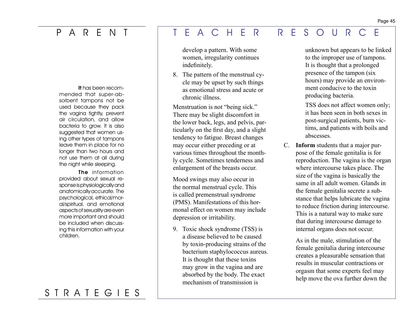It has been recommended that super-absorbent tampons not be used because they pack the vagina tightly, prevent air circulation, and allow bacteria to grow. It is also suggested that women using other types of tampons leave them in place for no longer than two hours and not use them at all during the night while sleeping.

The information provided about sexual response is physiologically and anatomically accurate. The psychological, ethical/moral/spiritual, and emotional aspects of sexuality are even more important and should be included when discussing this information with your children.

## indefinitely.

8. The pattern of the menstrual cycle may be upset by such things as emotional stress and acute or chronic illness.

develop a pattern. With some women, irregularity continues

Menstruation is not "being sick." There may be slight discomfort in the lower back, legs, and pelvis, particularly on the first day, and a slight tendency to fatigue. Breast changes may occur either preceding or at various times throughout the monthly cycle. Sometimes tenderness and enlargement of the breasts occur.

Mood swings may also occur in the normal menstrual cycle. This is called premenstrual syndrome (PMS). Manifestations of this hormonal effect on women may include depression or irritability.

9. Toxic shock syndrome (TSS) is a disease believed to be caused by toxin-producing strains of the bacterium staphylococcus aureus. It is thought that these toxins may grow in the vagina and are absorbed by the body. The exact mechanism of transmission is

unknown but appears to be linked to the improper use of tampons. It is thought that a prolonged presence of the tampon (six hours) may provide an environment conducive to the toxin producing bacteria.

TSS does not affect women only; it has been seen in both sexes in post-surgical patients, burn victims, and patients with boils and abscesses.

C. **Inform** students that a major purpose of the female genitalia is for reproduction. The vagina is the organ where intercourse takes place. The size of the vagina is basically the same in all adult women. Glands in the female genitalia secrete a substance that helps lubricate the vagina to reduce friction during intercourse. This is a natural way to make sure that during intercourse damage to internal organs does not occur.

> As in the male, stimulation of the female genitalia during intercourse creates a pleasurable sensation that results in muscular contractions or orgasm that some experts feel may help move the ova further down the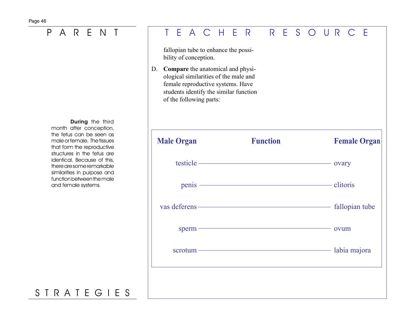During the third month after conception, the fetus can be seen as male or female. The tissues that form the reproductive structures in the fetus are identical. Because of this, there are some remarkable similarities in purpose and function between the male and female systems.

# S T R A T E G I E S

# P A R E N T T E A C H E R R E S O U R C E

fallopian tube to enhance the possibility of conception.

D. **Compare** the anatomical and physiological similarities of the male and female reproductive systems. Have students identify the similar function of the following parts:

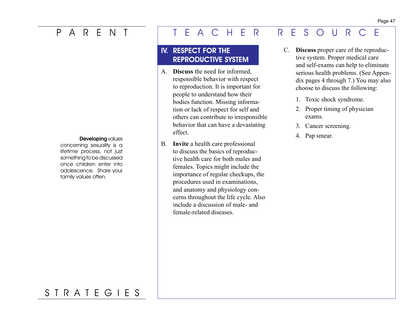concerning sexuality is a lifetime process, not just something to be discussed once children enter into adolescence. Share your family values often.

# P A R E N T T E A C H E R R E S O U R C E

## IV. RESPECT FOR THE REPRODUCTIVE SYSTEM

- A. **Discuss** the need for informed, responsible behavior with respect to reproduction. It is important for people to understand how their bodies function. Missing information or lack of respect for self and others can contribute to irresponsible behavior that can have a devastating effect. **Developing** values **Example 2. Pap smear.** Critician Contract 2. Pap smear. 2. Pap smear.
	- B. **Invite** a health care professional to discuss the basics of reproductive health care for both males and females. Topics might include the importance of regular checkups, the procedures used in examinations, and anatomy and physiology concerns throughout the life cycle. Also include a discussion of male- and female-related diseases.
- C. **Discuss** proper care of the reproductive system. Proper medical care and self-exams can help to eliminate serious health problems. (See Appendix pages 4 through 7.) You may also choose to discuss the following:
	- 1. Toxic shock syndrome.
	- 2. Proper timing of physician exams.
	- 3. Cancer screening.
	-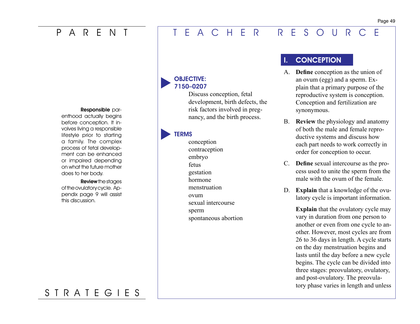### Responsible par-

enthood actually begins before conception. It involves living a responsible lifestyle prior to starting a family. The complex process of fetal development can be enhanced or impaired depending on what the future mother does to her body.

Review the stages of the ovulatory cycle. Appendix page 9 will assist this discussion.

### OBJECTIVE: 7150–0207

Discuss conception, fetal development, birth defects, the risk factors involved in pregnancy, and the birth process.

### **TERMS**

conception contraception embryo fetus gestation hormone menstruation ovum sexual intercourse sperm spontaneous abortion

## I. CONCEPTION

- A. **Define** conception as the union of an ovum (egg) and a sperm. Explain that a primary purpose of the reproductive system is conception. Conception and fertilization are synonymous.
- B. **Review** the physiology and anatomy of both the male and female reproductive systems and discuss how each part needs to work correctly in order for conception to occur.
- C. **Define** sexual intercourse as the process used to unite the sperm from the male with the ovum of the female.
- D. **Explain** that a knowledge of the ovulatory cycle is important information.

**Explain** that the ovulatory cycle may vary in duration from one person to another or even from one cycle to another. However, most cycles are from 26 to 36 days in length. A cycle starts on the day menstruation begins and lasts until the day before a new cycle begins. The cycle can be divided into three stages: preovulatory, ovulatory, and post-ovulatory. The preovulatory phase varies in length and unless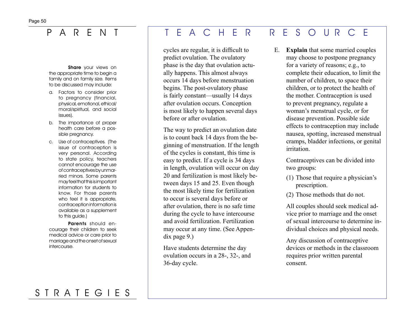Share your views on the appropriate time to begin a family and on family size. Items to be discussed may include:

- a. Factors to consider prior to pregnancy (financial, physical, emotional, ethical/ moral/spiritual, and social issues).
- b. The importance of proper health care before a possible pregnancy.
- c. Use of contraceptives. (The issue of contraception is very personal. According to state policy, teachers cannot encourage the use of contraceptives by unmarried minors. Some parents may feel that this is important information for students to know. For those parents who feel it is appropriate, contraception information is available as a supplement to this guide.)

Parents should encourage their children to seek medical advice or care prior to marriage and the onset of sexual intercourse.

## P A R E N T T E A C H E R R E S O U R C E

cycles are regular, it is difficult to predict ovulation. The ovulatory phase is the day that ovulation actually happens. This almost always occurs 14 days before menstruation begins. The post-ovulatory phase is fairly constant—usually 14 days after ovulation occurs. Conception is most likely to happen several days before or after ovulation.

The way to predict an ovulation date is to count back 14 days from the beginning of menstruation. If the length of the cycles is constant, this time is easy to predict. If a cycle is 34 days in length, ovulation will occur on day 20 and fertilization is most likely between days 15 and 25. Even though the most likely time for fertilization to occur is several days before or after ovulation, there is no safe time during the cycle to have intercourse and avoid fertilization. Fertilization may occur at any time. (See Appendix page 9.)

Have students determine the day ovulation occurs in a 28-, 32-, and 36-day cycle.

E. **Explain** that some married couples may choose to postpone pregnancy for a variety of reasons; e.g., to complete their education, to limit the number of children, to space their children, or to protect the health of the mother. Contraception is used to prevent pregnancy, regulate a woman's menstrual cycle, or for disease prevention. Possible side effects to contraception may include nausea, spotting, increased menstrual cramps, bladder infections, or genital irritation.

> Contraceptives can be divided into two groups:

- (1) Those that require a physician's prescription.
- (2) Those methods that do not.

All couples should seek medical advice prior to marriage and the onset of sexual intercourse to determine individual choices and physical needs.

Any discussion of contraceptive devices or methods in the classroom requires prior written parental consent.

# Page 50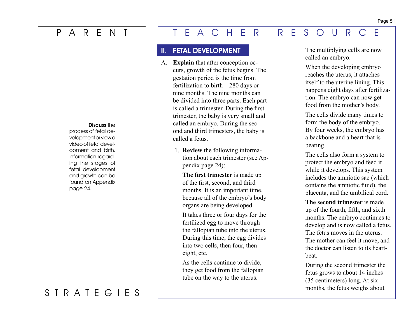### Discuss the

process of fetal development or view a video of fetal development and birth. Information regarding the stages of fetal development and growth can be found on Appendix page 24.

## S T R A T E G I E S

# P A R E N T T E A C H E R R E S O U R C E

### II. FETAL DEVELOPMENT

- A. **Explain** that after conception occurs, growth of the fetus begins. The gestation period is the time from fertilization to birth—280 days or nine months. The nine months can be divided into three parts. Each part is called a trimester. During the first trimester, the baby is very small and called an embryo. During the second and third trimesters, the baby is called a fetus.
	- 1. **Review** the following information about each trimester (see Appendix page 24):

**The first trimester** is made up of the first, second, and third months. It is an important time, because all of the embryo's body organs are being developed.

It takes three or four days for the fertilized egg to move through the fallopian tube into the uterus. During this time, the egg divides into two cells, then four, then eight, etc.

As the cells continue to divide, they get food from the fallopian tube on the way to the uterus.

The multiplying cells are now called an embryo.

When the developing embryo reaches the uterus, it attaches itself to the uterine lining. This happens eight days after fertilization. The embryo can now get food from the mother's body.

The cells divide many times to form the body of the embryo. By four weeks, the embryo has a backbone and a heart that is beating.

The cells also form a system to protect the embryo and feed it while it develops. This system includes the amniotic sac (which contains the amniotic fluid), the placenta, and the umbilical cord.

**The second trimester** is made up of the fourth, fifth, and sixth months. The embryo continues to develop and is now called a fetus. The fetus moves in the uterus. The mother can feel it move, and the doctor can listen to its heartbeat.

During the second trimester the fetus grows to about 14 inches (35 centimeters) long. At six months, the fetus weighs about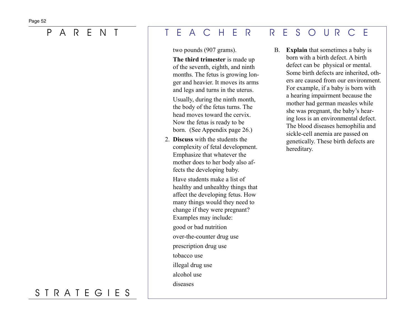two pounds (907 grams).

**The third trimester** is made up of the seventh, eighth, and ninth months. The fetus is growing longer and heavier. It moves its arms and legs and turns in the uterus.

Usually, during the ninth month, the body of the fetus turns. The head moves toward the cervix. Now the fetus is ready to be born. (See Appendix page 26.)

 2. **Discuss** with the students the complexity of fetal development. Emphasize that whatever the mother does to her body also affects the developing baby.

Have students make a list of healthy and unhealthy things that affect the developing fetus. How many things would they need to change if they were pregnant? Examples may include:

good or bad nutrition

over-the-counter drug use

prescription drug use

tobacco use

illegal drug use

alcohol use

diseases

B. **Explain** that sometimes a baby is born with a birth defect. A birth defect can be physical or mental. Some birth defects are inherited, others are caused from our environment. For example, if a baby is born with a hearing impairment because the mother had german measles while she was pregnant, the baby's hearing loss is an environmental defect. The blood diseases hemophilia and sickle-cell anemia are passed on genetically. These birth defects are

hereditary.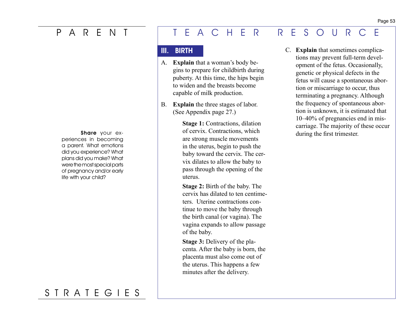periences in becoming a parent. What emotions did you experience? What plans did you make? What were the most special parts of pregnancy and/or early life with your child?

## S T R A T E G I E S

## P A R E N T T E A C H E R R E S O U R C E

## III. BIRTH

- A. **Explain** that a woman's body begins to prepare for childbirth during puberty. At this time, the hips begin to widen and the breasts become capable of milk production.
- B. **Explain** the three stages of labor. (See Appendix page 27.)

**Stage 1: Contractions, dilation** of cervix. Contractions, which are strong muscle movements in the uterus, begin to push the baby toward the cervix. The cervix dilates to allow the baby to pass through the opening of the uterus. Share your ex-<br>of cervix. Contractions, which during the first trimester.

> **Stage 2:** Birth of the baby. The cervix has dilated to ten centimeters. Uterine contractions continue to move the baby through the birth canal (or vagina). The vagina expands to allow passage of the baby.

**Stage 3:** Delivery of the placenta. After the baby is born, the placenta must also come out of the uterus. This happens a few minutes after the delivery.

 C. **Explain** that sometimes complications may prevent full-term development of the fetus. Occasionally, genetic or physical defects in the fetus will cause a spontaneous abortion or miscarriage to occur, thus terminating a pregnancy. Although the frequency of spontaneous abortion is unknown, it is estimated that 10–40% of pregnancies end in miscarriage. The majority of these occur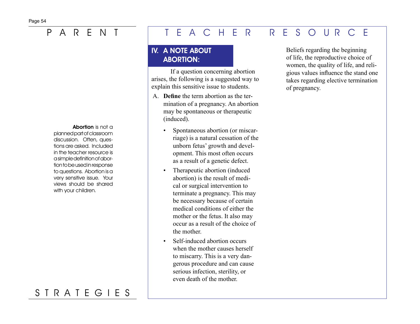Abortion is not a planned part of classroom discussion. Often, questions are asked. Included in the teacher resource is a simple definition of abortion to be used in response to questions. Abortion is a very sensitive issue. Your views should be shared with your children.

# S T R A T E G I E S

# P A R E N T T E A C H E R R E S O U R C E

## IV. A NOTE ABOUT ABORTION:

If a question concerning abortion arises, the following is a suggested way to explain this sensitive issue to students.

- A. **Define** the term abortion as the termination of a pregnancy. An abortion may be spontaneous or therapeutic (induced).
	- Spontaneous abortion (or miscarriage) is a natural cessation of the unborn fetus' growth and development. This most often occurs as a result of a genetic defect.
	- Therapeutic abortion (induced abortion) is the result of medical or surgical intervention to terminate a pregnancy. This may be necessary because of certain medical conditions of either the mother or the fetus. It also may occur as a result of the choice of the mother.
	- Self-induced abortion occurs when the mother causes herself to miscarry. This is a very dangerous procedure and can cause serious infection, sterility, or even death of the mother.

Beliefs regarding the beginning of life, the reproductive choice of women, the quality of life, and religious values influence the stand one takes regarding elective termination of pregnancy.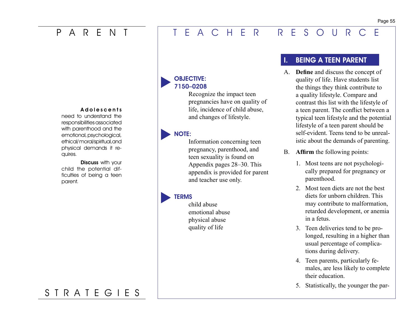### A do les cents

need to understand the responsibilities associated with parenthood and the emotional, psychological, ethical/ moral/spiritual,and physical demands it requires.

Discuss with your child the potential difficulties of being a teen parent.

### OBJECTIVE: 7150–0208

Recognize the impact teen pregnancies have on quality of life, incidence of child abuse, and changes of lifestyle.

### NOTE:

Information concerning teen pregnancy, parenthood, and teen sexuality is found on Appendix pages 28–30. This appendix is provided for parent and teacher use only.

### **TERMS**

child abuse emotional abuse physical abuse quality of life

## BEING A TEEN PARENT

- A. **Define** and discuss the concept of quality of life. Have students list the things they think contribute to a quality lifestyle. Compare and contrast this list with the lifestyle of a teen parent. The conflict between a typical teen lifestyle and the potential lifestyle of a teen parent should be self-evident. Teens tend to be unrealistic about the demands of parenting.
- B. **Affirm** the following points:
	- 1. Most teens are not psychologically prepared for pregnancy or parenthood.
	- 2. Most teen diets are not the best diets for unborn children. This may contribute to malformation, retarded development, or anemia in a fetus.
	- 3. Teen deliveries tend to be prolonged, resulting in a higher than usual percentage of complications during delivery.
	- 4. Teen parents, particularly females, are less likely to complete their education.
	- 5. Statistically, the younger the par-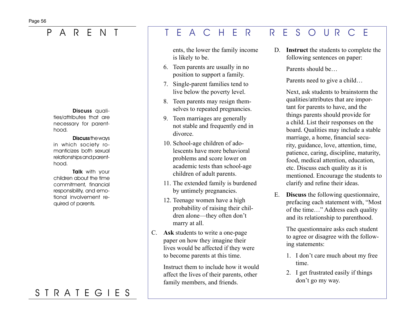Discuss qualities/attributes that are necessary for parenthood.

### Discuss the ways

in which society romanticizes both sexual relationships and parenthood.

**Talk** with your children about the time commitment, financial responsibility, and emotional involvement required of parents.

# S T R A T E G I E S

## P A R E N T T E A C H E R R E S O U R C E

ents, the lower the family income is likely to be.

- 6. Teen parents are usually in no position to support a family.
- 7. Single-parent families tend to live below the poverty level.
- 8. Teen parents may resign themselves to repeated pregnancies.
- 9. Teen marriages are generally not stable and frequently end in divorce.
- 10. School-age children of adolescents have more behavioral problems and score lower on academic tests than school-age children of adult parents.
- 11. The extended family is burdened by untimely pregnancies.
- 12. Teenage women have a high probability of raising their children alone—they often don't marry at all.
- C. **Ask** students to write a one-page paper on how they imagine their lives would be affected if they were to become parents at this time.

Instruct them to include how it would affect the lives of their parents, other family members, and friends.

D. **Instruct** the students to complete the following sentences on paper:

Parents should be…

Parents need to give a child…

Next, ask students to brainstorm the qualities/attributes that are important for parents to have, and the things parents should provide for a child. List their responses on the board. Qualities may include a stable marriage, a home, financial security, guidance, love, attention, time, patience, caring, discipline, maturity, food, medical attention, education, etc. Discuss each quality as it is mentioned. Encourage the students to clarify and refine their ideas.

E. **Discuss** the following questionnaire, prefacing each statement with, "Most of the time…" Address each quality and its relationship to parenthood.

> The questionnaire asks each student to agree or disagree with the following statements:

- 1. I don't care much about my free time.
- 2. I get frustrated easily if things don't go my way.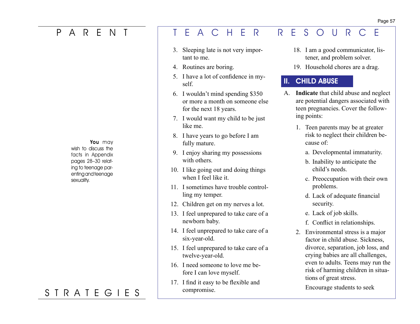You may wish to discuss the facts in Appendix pages 28–30 relating to teenage parenting and teenage sexuality.

# S T R A T E G I E S

## P A R E N T T E A C H E R R E S O U R C E

- 3. Sleeping late is not very important to me.
- 4. Routines are boring.
- 5. I have a lot of confidence in myself.
- 6. I wouldn't mind spending \$350 or more a month on someone else for the next 18 years.
- 7. I would want my child to be just like me.
- 8. I have years to go before I am fully mature.
- 9. I enjoy sharing my possessions with others.
- 10. I like going out and doing things when I feel like it.
- 11. I sometimes have trouble controlling my temper.
- 12. Children get on my nerves a lot.
- 13. I feel unprepared to take care of a newborn baby.
- 14. I feel unprepared to take care of a six-year-old.
- 15. I feel unprepared to take care of a twelve-year-old.
- 16. I need someone to love me before I can love myself.
- 17. I find it easy to be flexible and compromise.
- 18. I am a good communicator, listener, and problem solver.
- 19. Household chores are a drag.

## II. CHILD ABUSE

- A. **Indicate** that child abuse and neglect are potential dangers associated with teen pregnancies. Cover the following points:
	- 1. Teen parents may be at greater risk to neglect their children because of:
		- a. Developmental immaturity.
		- b. Inability to anticipate the child's needs.
		- c. Preoccupation with their own problems.
		- d. Lack of adequate financial security.
		- e. Lack of job skills.
		- f. Conflict in relationships.
	- 2. Environmental stress is a major factor in child abuse. Sickness, divorce, separation, job loss, and crying babies are all challenges, even to adults. Teens may run the risk of harming children in situations of great stress.

Encourage students to seek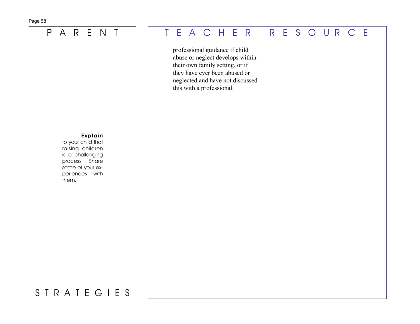### Explain

to your child that raising children is a challenging process. Share some of your experiences with them.

# P A R E N T T E A C H E R R E S O U R C E

professional guidance if child abuse or neglect develops within their own family setting, or if they have ever been abused or neglected and have not discussed this with a professional.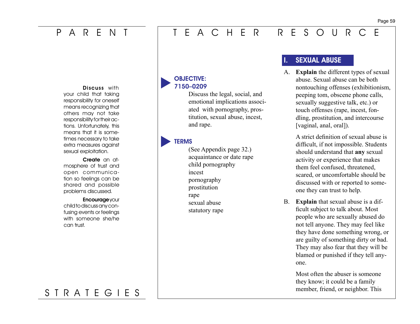## P A R E N T

## T E A C H E R R E S O U R C E

Discuss with your child that taking responsibility for oneself means recognizing that others may not take responsibility for their actions. Unfortunately, this means that it is sometimes necessary to take extra measures against sexual exploitation.

Create an atmosphere of trust and open communication so feelings can be shared and possible problems discussed.

### **Encourage your** child to discuss any con-

fusing events or feelings with someone she/he can trust.

### OBJECTIVE: 7150–0209

Discuss the legal, social, and emotional implications associated with pornography, prostitution, sexual abuse, incest, and rape.

### **TERMS**

(See Appendix page 32.) acquaintance or date rape child pornography incest pornography prostitution rape sexual abuse statutory rape

## **SEXUAL ABUSE**

A. **Explain** the different types of sexual abuse. Sexual abuse can be both nontouching offenses (exhibitionism, peeping tom, obscene phone calls, sexually suggestive talk, etc.) or touch offenses (rape, incest, fondling, prostitution, and intercourse [vaginal, anal, oral]).

> A strict definition of sexual abuse is difficult, if not impossible. Students should understand that **any** sexual activity or experience that makes them feel confused, threatened, scared, or uncomfortable should be discussed with or reported to someone they can trust to help.

B. **Explain** that sexual abuse is a difficult subject to talk about. Most people who are sexually abused do not tell anyone. They may feel like they have done something wrong, or are guilty of something dirty or bad. They may also fear that they will be blamed or punished if they tell anyone.

> Most often the abuser is someone they know; it could be a family member, friend, or neighbor. This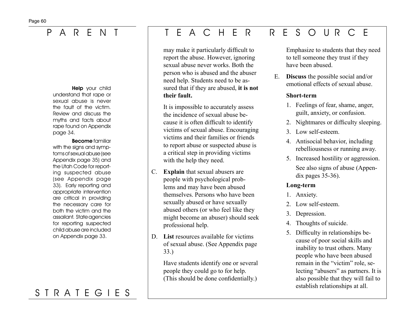Help your child understand that rape or sexual abuse is never the fault of the victim. Review and discuss the myths and facts about rape found on Appendix page 34.

### Become familiar with the signs and symptoms of sexual abuse (see Appendix page 35) and the Utah Code for reporting suspected abuse (see Appendix page 33). Early reporting and appropriate intervention are critical in providing the necessary care for both the victim and the assailant. State agencies for reporting suspected child abuse are included on Appendix page 33.

# S T R A T E G I E S

# P A R E N T T E A C H E R R E S O U R C E

may make it particularly difficult to report the abuse. However, ignoring sexual abuse never works. Both the person who is abused and the abuser need help. Students need to be assured that if they are abused, **it is not their fault.**

 It is impossible to accurately assess the incidence of sexual abuse because it is often difficult to identify victims of sexual abuse. Encouraging victims and their families or friends to report abuse or suspected abuse is a critical step in providing victims with the help they need.

- C. **Explain** that sexual abusers are people with psychological problems and may have been abused themselves. Persons who have been sexually abused or have sexually abused others (or who feel like they might become an abuser) should seek professional help.
- D. **List** resources available for victims of sexual abuse. (See Appendix page 33.)

 Have students identify one or several people they could go to for help. (This should be done confidentially.)

Emphasize to students that they need to tell someone they trust if they have been abused.

E. **Discuss** the possible social and/or emotional effects of sexual abuse.

### **Short-term**

- 1. Feelings of fear, shame, anger, guilt, anxiety, or confusion.
- 2. Nightmares or difficulty sleeping.
- 3. Low self-esteem.
- 4. Antisocial behavior, including rebelliousness or running away.
- 5. Increased hostility or aggression. See also signs of abuse (Appendix pages 35-36).

### **Long-term**

- 1. Anxiety.
- 2. Low self-esteem.
- 3. Depression.
- 4. Thoughts of suicide.
- 5. Difficulty in relationships because of poor social skills and inability to trust others. Many people who have been abused remain in the "victim" role, selecting "abusers" as partners. It is also possible that they will fail to establish relationships at all.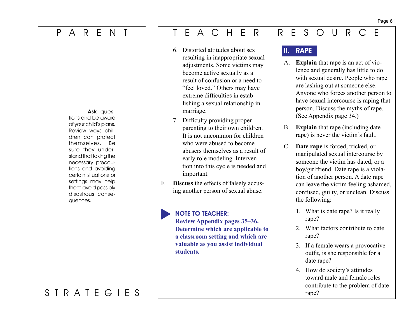# P A R E N T

Ask questions and be aware of your child's plans. Review ways children can protect themselves. Be sure they understand that taking the necessary precautions and avoiding certain situations or settings may help them avoid possibly disastrous consequences.

# S T R A T E G I E S

# T E A C H E R R E S O U R C E

- 6. Distorted attitudes about sex resulting in inappropriate sexual adjustments. Some victims may become active sexually as a result of confusion or a need to "feel loved." Others may have extreme difficulties in establishing a sexual relationship in marriage.
- 7. Difficulty providing proper parenting to their own children. It is not uncommon for children who were abused to become abusers themselves as a result of early role modeling. Intervention into this cycle is needed and important.
- F. **Discuss** the effects of falsely accusing another person of sexual abuse.

## NOTE TO TEACHER:

**Review Appendix pages 35–36. Determine which are applicable to a classroom setting and which are valuable as you assist individual students.**

## II. RAPE

- A. **Explain** that rape is an act of violence and generally has little to do with sexual desire. People who rape are lashing out at someone else. Anyone who forces another person to have sexual intercourse is raping that person. Discuss the myths of rape. (See Appendix page 34.)
- B. **Explain** that rape (including date rape) is never the victim's fault.
- C. **Date rape** is forced, tricked, or manipulated sexual intercourse by someone the victim has dated, or a boy/girlfriend. Date rape is a violation of another person. A date rape can leave the victim feeling ashamed, confused, guilty, or unclean. Discuss the following:
	- 1. What is date rape? Is it really rape?
	- 2. What factors contribute to date rape?
	- 3. If a female wears a provocative outfit, is she responsible for a date rape?
	- 4. How do society's attitudes toward male and female roles contribute to the problem of date rape?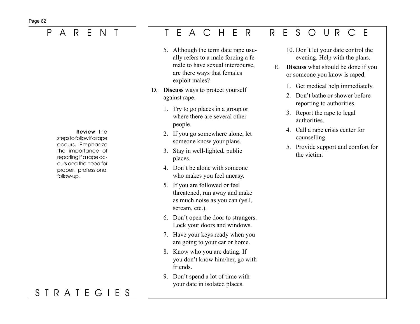Review the steps to follow if a rape occurs. Emphasize the importance of reporting if a rape occurs and the need for proper, professional follow-up.

# S T R A T E G I E S

# P A R E N T T E A C H E R R E S O U R C E

- 5. Although the term date rape usually refers to a male forcing a female to have sexual intercourse, are there ways that females exploit males?
- D. **Discuss** ways to protect yourself against rape.
	- 1. Try to go places in a group or where there are several other people.
	- 2. If you go somewhere alone, let someone know your plans.
	- 3. Stay in well-lighted, public places.
	- 4. Don't be alone with someone who makes you feel uneasy.
	- 5. If you are followed or feel threatened, run away and make as much noise as you can (yell, scream, etc.).
	- 6. Don't open the door to strangers. Lock your doors and windows.
	- 7. Have your keys ready when you are going to your car or home.
	- 8. Know who you are dating. If you don't know him/her, go with friends.
	- 9. Don't spend a lot of time with your date in isolated places.
- 10. Don't let your date control the evening. Help with the plans.
- E. **Discuss** what should be done if you or someone you know is raped.
	- 1. Get medical help immediately.
	- 2. Don't bathe or shower before reporting to authorities.
	- 3. Report the rape to legal authorities.
	- 4. Call a rape crisis center for counselling.
	- 5. Provide support and comfort for the victim.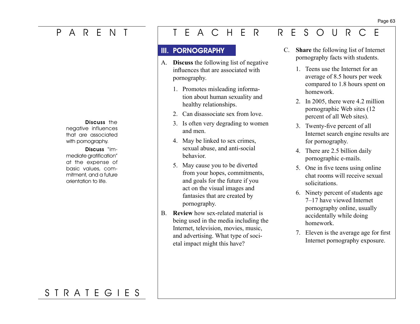# P A R E N T

Discuss the

negative influences that are associated with pornography.

### Discuss "im-

mediate gratification" at the expense of basic values, commitment, and a future orientation to life.

# T E A C H E R R E S O U R C E

## **III. PORNOGRAPHY**

- A. **Discuss** the following list of negative influences that are associated with pornography.
	- 1. Promotes misleading information about human sexuality and healthy relationships.
	- 2. Can disassociate sex from love.
	- 3. Is often very degrading to women and men.
	- 4. May be linked to sex crimes, sexual abuse, and anti-social behavior.
	- 5. May cause you to be diverted from your hopes, commitments, and goals for the future if you act on the visual images and fantasies that are created by pornography.
- B. **Review** how sex-related material is being used in the media including the Internet, television, movies, music, and advertising. What type of societal impact might this have?
- C. **Share** the following list of Internet pornography facts with students.
	- 1. Teens use the Internet for an average of 8.5 hours per week compared to 1.8 hours spent on homework.
	- 2. In 2005, there were 4.2 million pornographic Web sites (12 percent of all Web sites).
	- 3. Twenty-five percent of all Internet search engine results are for pornography.
	- 4. There are 2.5 billion daily pornographic e-mails.
	- 5. One in five teens using online chat rooms will receive sexual solicitations.
	- 6. Ninety percent of students age 7–17 have viewed Internet pornography online, usually accidentally while doing homework.
	- 7. Eleven is the average age for first Internet pornography exposure.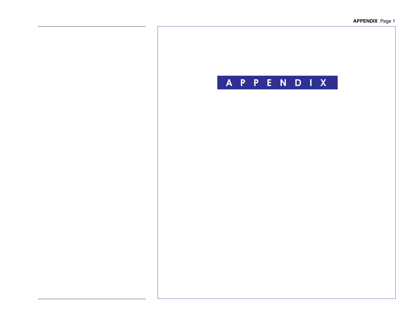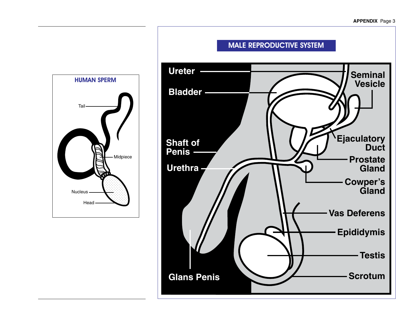

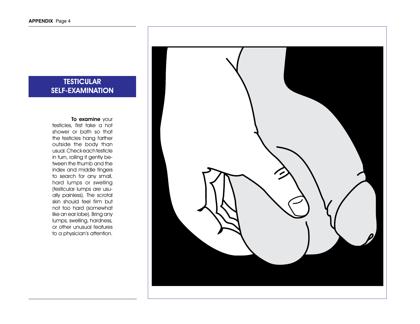## **TESTICULAR** SELF-EXAMINATION

### To examine your

testicles, first take a hot shower or bath so that the testicles hang farther outside the body than usual. Check each testicle in turn, rolling it gently between the thumb and the index and middle fingers to search for any small, hard lumps or swelling (testicular lumps are usually painless). The scrotal skin should feel firm but not too hard (somewhat like an ear lobe). Bring any lumps, swelling, hardness, or other unusual features to a physician's attention.

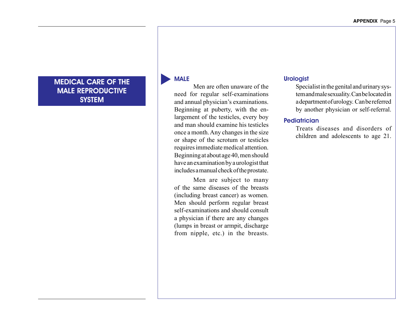## MEDICAL CARE OF THE MALE REPRODUCTIVE **SYSTEM**

### MALE

 Men are often unaware of the need for regular self-examinations and annual physician's examinations. Beginning at puberty, with the enlargement of the testicles, every boy and man should examine his testicles once a month. Any changes in the size or shape of the scrotum or testicles requires immediate medical attention. Beginning at about age 40, men should have an examination by a urologist that includesamanualcheckoftheprostate.

 Men are subject to many of the same diseases of the breasts (including breast cancer) as women. Men should perform regular breast self-examinations and should consult a physician if there are any changes (lumps in breast or armpit, discharge from nipple, etc.) in the breasts.

### **Urologist**

 Specialistinthegenital andurinarysystemandmalesexuality.Canbelocatedin adepartmentofurology. Canbereferred by another physician or self-referral.

### **Pediatrician**

 Treats diseases and disorders of children and adolescents to age 21.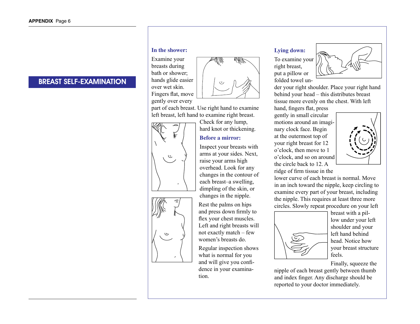## BREAST SELF-EXAMINATION

### **In the shower:**

Examine your breasts during bath or shower; hands glide easier over wet skin. Fingers flat, move gently over every



part of each breast. Use right hand to examine left breast, left hand to examine right breast.

Check for any lump, hard knot or thickening.

### **Before a mirror:**

Inspect your breasts with arms at your sides. Next, raise your arms high overhead. Look for any changes in the contour of each breast–a swelling, dimpling of the skin, or changes in the nipple.

Rest the palms on hips and press down firmly to flex your chest muscles. Left and right breasts will not exactly match – few women's breasts do.

Regular inspection shows what is normal for you and will give you confidence in your examination.

### **Lying down:**

To examine your right breast, put a pillow or folded towel un-



der your right shoulder. Place your right hand behind your head – this distributes breast tissue more evenly on the chest. With left

hand, fingers flat, press gently in small circular motions around an imaginary clock face. Begin at the outermost top of your right breast for 12 o'clock, then move to 1 o'clock, and so on around the circle back to 12. A ridge of firm tissue in the



lower curve of each breast is normal. Move in an inch toward the nipple, keep circling to examine every part of your breast, including the nipple. This requires at least three more circles. Slowly repeat procedure on your left



breast with a pillow under your left shoulder and your left hand behind head. Notice how your breast structure feels.

Finally, squeeze the

nipple of each breast gently between thumb and index finger. Any discharge should be reported to your doctor immediately.



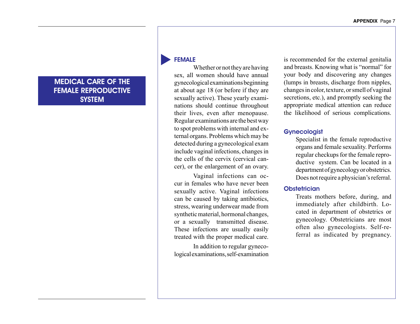## MEDICAL CARE OF THE FEMALE REPRODUCTIVE **SYSTEM**

### FEMALE

Whether or not they are having sex, all women should have annual gynecologicalexaminationsbeginning at about age 18 (or before if they are sexually active). These yearly examinations should continue throughout their lives, even after menopause. Regular examinations are thebestway to spot problems with internal and external organs. Problems which may be detected during a gynecological exam include vaginal infections, changes in the cells of the cervix (cervical cancer), or the enlargement of an ovary.

 Vaginal infections can occur in females who have never been sexually active. Vaginal infections can be caused by taking antibiotics, stress, wearing underwear made from synthetic material, hormonal changes, or a sexually transmitted disease. These infections are usually easily treated with the proper medical care.

 In addition to regular gynecological examinations, self-examination is recommended for the external genitalia and breasts. Knowing what is "normal" for your body and discovering any changes (lumps in breasts, discharge from nipples, changesincolor,texture,orsmellofvaginal secretions, etc.), and promptly seeking the appropriate medical attention can reduce the likelihood of serious complications.

### **Gynecologist**

 Specialist in the female reproductive organs and female sexuality. Performs regular checkups for the female reproductive system. Can be located in a department of gynecology or obstetrics. Does not require a physician's referral.

### **Obstetrician**

 Treats mothers before, during, and immediately after childbirth. Located in department of obstetrics or gynecology. Obstetricians are most often also gynecologists. Self-referral as indicated by pregnancy.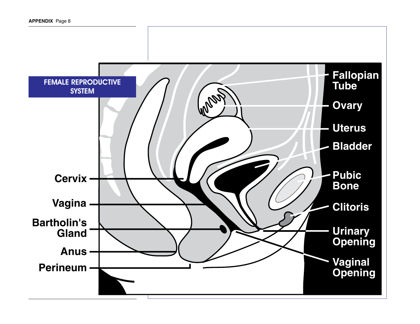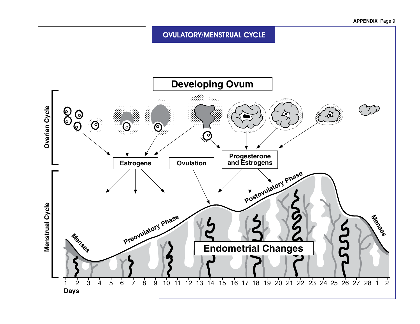**OVULATORY/MENSTRUAL CYCLE** 

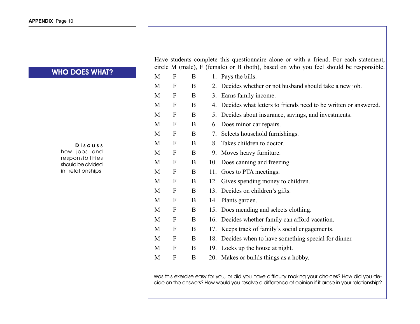### WHO DOES WHAT?

### D i s c u s s

how jobs and responsibilities should be divided in relationships. Have students complete this questionnaire alone or with a friend. For each statement, circle M (male), F (female) or B (both), based on who you feel should be responsible.

| M | F                | B |    | 1. Pays the bills.                                              |
|---|------------------|---|----|-----------------------------------------------------------------|
| M | F                | B | 2. | Decides whether or not husband should take a new job.           |
| M | F                | B | 3. | Earns family income.                                            |
| M | F                | B | 4. | Decides what letters to friends need to be written or answered. |
| M | F                | B | 5. | Decides about insurance, savings, and investments.              |
| M | F                | B | 6. | Does minor car repairs.                                         |
| M | $\mathbf{F}$     | B | 7. | Selects household furnishings.                                  |
| M | $\boldsymbol{F}$ | B | 8. | Takes children to doctor.                                       |
| M | F                | B | 9. | Moves heavy furniture.                                          |
| M | $\boldsymbol{F}$ | B |    | 10. Does canning and freezing.                                  |
| M | F                | B |    | 11. Goes to PTA meetings.                                       |
| M | F                | B |    | 12. Gives spending money to children.                           |
| M | F                | B |    | 13. Decides on children's gifts.                                |
| M | F                | B |    | 14. Plants garden.                                              |
| M | $\mathbf F$      | B |    | 15. Does mending and selects clothing.                          |
| M | F                | B |    | 16. Decides whether family can afford vacation.                 |
| M | F                | B |    | 17. Keeps track of family's social engagements.                 |
| M | F                | B |    | 18. Decides when to have something special for dinner.          |
| M | F                | B |    | 19. Locks up the house at night.                                |
| M | F                | B |    | 20. Makes or builds things as a hobby.                          |

Was this exercise easy for you, or did you have difficulty making your choices? How did you decide on the answers? How would you resolve a difference of opinion if it arose in your relationship?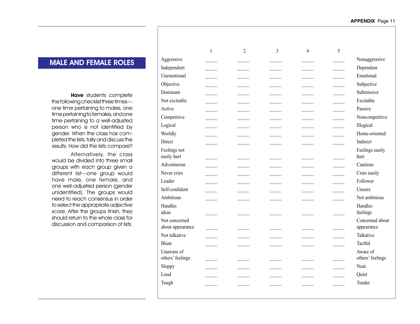### MALE AND FEMALE ROLES

Have students complete the following checklist three times one time pertaining to males, one time pertaining to females, and one time pertaining to a well-adjusted person who is not identified by gender. When the class has completed the lists, tally and discuss the results. How did the lists compare?

Alternatively, the class would be divided into three small groups with each group given a different list—one group would have male, one female, and one well-adjusted person (gender unidentified). The groups would need to reach consensus in order to select the appropriate adjective score. After the groups finish, they should return to the whole class for discussion and comparison of lists.

|                                   | $\mathbf{1}$             | $\overline{2}$           | $\overline{3}$ | $\overline{4}$ | 5 |                               |
|-----------------------------------|--------------------------|--------------------------|----------------|----------------|---|-------------------------------|
| Aggressive                        |                          |                          |                |                |   | Nonaggressive                 |
| Independent                       |                          |                          |                |                |   | Dependent                     |
| Unemotional                       |                          |                          |                |                |   | Emotional                     |
| Objective                         |                          |                          |                |                |   | Subjective                    |
| Dominant                          |                          |                          |                |                |   | Submissive                    |
| Not excitable                     |                          |                          |                |                |   | Excitable                     |
| Active                            | <b>Contractor</b>        | $\overline{\phantom{a}}$ |                |                |   | Passive                       |
| Competitive                       | $\overline{\phantom{a}}$ | $\overline{\phantom{a}}$ |                |                |   | Noncompetitive                |
| Logical                           |                          |                          |                |                |   | Illogical                     |
| Worldly                           |                          |                          |                |                |   | Home-oriented                 |
| Direct                            |                          |                          |                |                |   | Indirect                      |
| Feelings not<br>easily hurt       |                          |                          |                |                |   | Feelings easily<br>hurt       |
| Adventurous                       | $\overline{\phantom{a}}$ |                          |                |                |   | Cautious                      |
| Never cries                       |                          |                          |                |                |   | Cries easily                  |
| Leader                            | $\sim$                   |                          |                |                |   | Follower                      |
| Self-confident                    |                          |                          |                |                |   | Unsure                        |
| Ambitious                         |                          |                          |                |                |   | Not ambitious                 |
| Handles<br>ideas                  |                          |                          |                |                |   | Handles<br>feelings           |
| Not concerned<br>about appearance | $\overline{\phantom{a}}$ |                          |                |                |   | Concerned about<br>appearance |
| Not talkative                     |                          |                          |                |                |   | Talkative                     |
| <b>Blunt</b>                      |                          |                          |                |                |   | Tactful                       |
| Unaware of<br>others' feelings    |                          |                          |                |                |   | Aware of<br>others' feelings  |
| Sloppy                            |                          |                          |                |                |   | Neat                          |
| Loud                              |                          |                          |                |                |   | Quiet                         |
| Tough                             |                          |                          |                |                |   | Tender                        |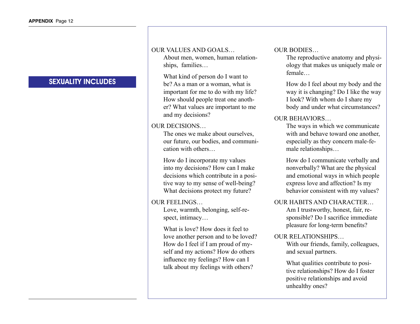## SEXUALITY INCLUDES

### OUR VALUES AND GOALS…

About men, women, human relationships, families…

 What kind of person do I want to be? As a man or a woman, what is important for me to do with my life? How should people treat one another? What values are important to me and my decisions?

### OUR DECISIONS…

The ones we make about ourselves, our future, our bodies, and communication with others…

 How do I incorporate my values into my decisions? How can I make decisions which contribute in a positive way to my sense of well-being? What decisions protect my future?

### OUR FEELINGS…

Love, warmth, belonging, self-respect, intimacy…

 What is love? How does it feel to love another person and to be loved? How do I feel if I am proud of myself and my actions? How do others influence my feelings? How can I talk about my feelings with others?

### OUR BODIES…

The reproductive anatomy and physiology that makes us uniquely male or female…

 How do I feel about my body and the way it is changing? Do I like the way I look? With whom do I share my body and under what circumstances?

### OUR BEHAVIORS…

The ways in which we communicate with and behave toward one another, especially as they concern male-female relationships…

 How do I communicate verbally and nonverbally? What are the physical and emotional ways in which people express love and affection? Is my behavior consistent with my values?

### OUR HABITS AND CHARACTER…

Am I trustworthy, honest, fair, responsible? Do I sacrifice immediate pleasure for long-term benefits?

### OUR RELATIONSHIPS…

With our friends, family, colleagues, and sexual partners.

 What qualities contribute to positive relationships? How do I foster positive relationships and avoid unhealthy ones?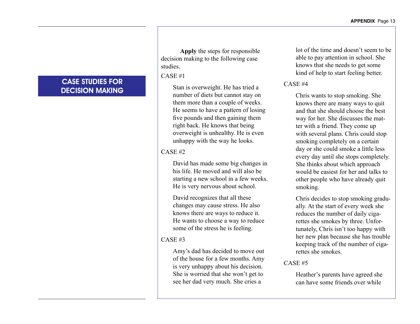## CASE STUDIES FOR DECISION MAKING

**Apply** the steps for responsible decision making to the following case studies.

### CASE #1

 Stan is overweight. He has tried a number of diets but cannot stay on them more than a couple of weeks. He seems to have a pattern of losing five pounds and then gaining them right back. He knows that being overweight is unhealthy. He is even unhappy with the way he looks.

### CASE #2

 David has made some big changes in his life. He moved and will also be starting a new school in a few weeks. He is very nervous about school.

 David recognizes that all these changes may cause stress. He also knows there are ways to reduce it. He wants to choose a way to reduce some of the stress he is feeling.

### CASE #3

 Amy's dad has decided to move out of the house for a few months. Amy is very unhappy about his decision. She is worried that she won't get to see her dad very much. She cries a

lot of the time and doesn't seem to be able to pay attention in school. She knows that she needs to get some kind of help to start feeling better.

## CASE #4

 Chris wants to stop smoking. She knows there are many ways to quit and that she should choose the best way for her. She discusses the matter with a friend. They come up with several plans. Chris could stop smoking completely on a certain day or she could smoke a little less every day until she stops completely. She thinks about which approach would be easiest for her and talks to other people who have already quit smoking.

 Chris decides to stop smoking gradually. At the start of every week she reduces the number of daily cigarettes she smokes by three. Unfortunately, Chris isn't too happy with her new plan because she has trouble keeping track of the number of cigarettes she smokes.

### CASE #5

 Heather's parents have agreed she can have some friends over while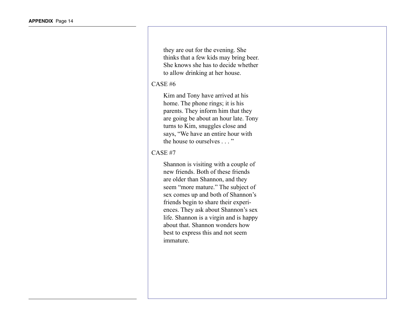they are out for the evening. She thinks that a few kids may bring beer. She knows she has to decide whether to allow drinking at her house.

### CASE #6

 Kim and Tony have arrived at his home. The phone rings; it is his parents. They inform him that they are going be about an hour late. Tony turns to Kim, snuggles close and says, "We have an entire hour with the house to ourselves . . . "

### CASE #7

 Shannon is visiting with a couple of new friends. Both of these friends are older than Shannon, and they seem "more mature." The subject of sex comes up and both of Shannon's friends begin to share their experiences. They ask about Shannon's sex life. Shannon is a virgin and is happy about that. Shannon wonders how best to express this and not seem immature.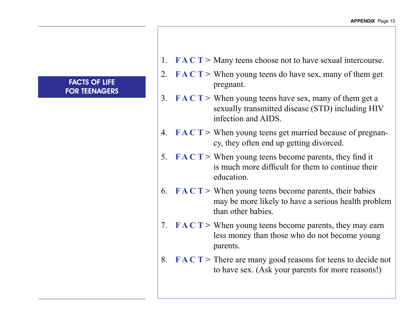## FACTS OF LIFE FOR TEENAGERS

- 1. **FACT** > Many teens choose not to have sexual intercourse.
- 2. **F A C T >** When young teens do have sex, many of them get pregnant.
- 3. **FACT** > When young teens have sex, many of them get a sexually transmitted disease (STD) including HIV infection and AIDS.
- 4. **F A C T >** When young teens get married because of pregnancy, they often end up getting divorced.
- 5. **F A C T >** When young teens become parents, they find it is much more difficult for them to continue their education.
- 6.  $\mathbf{F} \mathbf{A} \mathbf{C} \mathbf{T}$  > When young teens become parents, their babies may be more likely to have a serious health problem than other babies.
- 7. **FACT** > When young teens become parents, they may earn less money than those who do not become young parents.
- 8. **F A C T >** There are many good reasons for teens to decide not to have sex. (Ask your parents for more reasons!)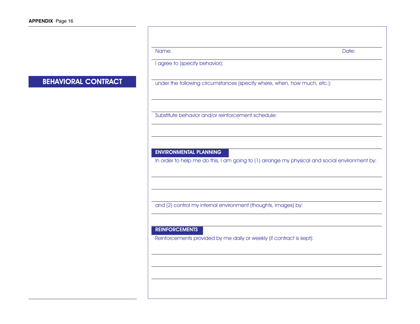## BEHAVIORAL CONTRACT

| Name:                                                                                                                          | Date: |
|--------------------------------------------------------------------------------------------------------------------------------|-------|
| I agree to (specify behavior):                                                                                                 |       |
|                                                                                                                                |       |
| under the following circumstances (specify where, when, how much, etc.):                                                       |       |
|                                                                                                                                |       |
|                                                                                                                                |       |
| Substitute behavior and/or reinforcement schedule:                                                                             |       |
|                                                                                                                                |       |
|                                                                                                                                |       |
| <b>ENVIRONMENTAL PLANNING</b><br>In order to help me do this, I am going to (1) arrange my physical and social environment by: |       |
|                                                                                                                                |       |
|                                                                                                                                |       |
|                                                                                                                                |       |
| and (2) control my internal environment (thoughts, images) by:                                                                 |       |

### REINFORCEMENTS

Reinforcements provided by me daily or weekly (if contract is kept):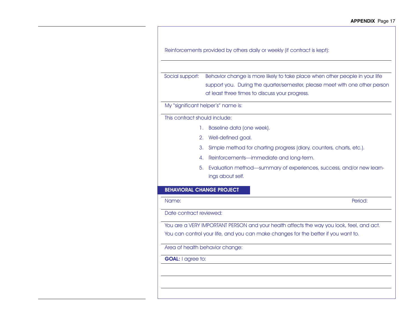| Social support:                  | Behavior change is more likely to take place when other people in your life<br>support you. During the quarter/semester, please meet with one other person<br>at least three times to discuss your progress. |
|----------------------------------|--------------------------------------------------------------------------------------------------------------------------------------------------------------------------------------------------------------|
|                                  | My "significant helper's" name is:                                                                                                                                                                           |
| This contract should include:    |                                                                                                                                                                                                              |
|                                  | 1. Baseline data (one week).                                                                                                                                                                                 |
|                                  | 2. Well-defined goal.                                                                                                                                                                                        |
|                                  | 3.<br>Simple method for charting progress (diary, counters, charts, etc.).                                                                                                                                   |
|                                  | Reinforcements-immediate and long-term.<br>4.                                                                                                                                                                |
|                                  | 5. Evaluation method-summary of experiences, success, and/or new learn-<br>ings about self.                                                                                                                  |
| <b>BEHAVIORAL CHANGE PROJECT</b> |                                                                                                                                                                                                              |
| Name:                            | Period:                                                                                                                                                                                                      |
| Date contract reviewed:          |                                                                                                                                                                                                              |
|                                  | You are a VERY IMPORTANT PERSON and your health affects the way you look, feel, and act.                                                                                                                     |
|                                  | You can control your life, and you can make changes for the better if you want to.                                                                                                                           |
|                                  | Area of health behavior change:                                                                                                                                                                              |
| <b>GOAL:</b> I agree to:         |                                                                                                                                                                                                              |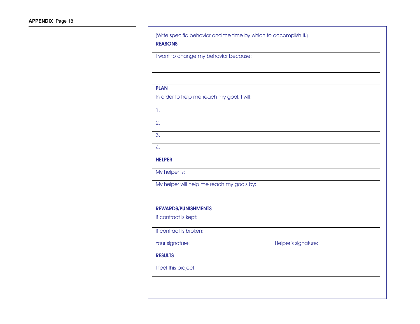| I want to change my behavior because:      |                     |  |
|--------------------------------------------|---------------------|--|
|                                            |                     |  |
|                                            |                     |  |
| <b>PLAN</b>                                |                     |  |
| In order to help me reach my goal, I will: |                     |  |
| 1.                                         |                     |  |
|                                            |                     |  |
| 2.                                         |                     |  |
| 3.                                         |                     |  |
| 4.                                         |                     |  |
| <b>HELPER</b>                              |                     |  |
| My helper is:                              |                     |  |
| My helper will help me reach my goals by:  |                     |  |
|                                            |                     |  |
| <b>REWARDS/PUNISHMENTS</b>                 |                     |  |
| If contract is kept:                       |                     |  |
| If contract is broken:                     |                     |  |
| Your signature:                            | Helper's signature: |  |
| <b>RESULTS</b>                             |                     |  |
| I feel this project:                       |                     |  |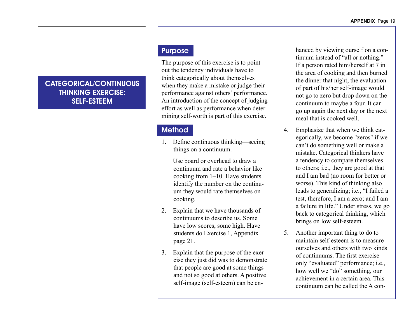## CATEGORICAL/CONTINUOUS THINKING EXERCISE: SELF-ESTEEM

### Purpose

The purpose of this exercise is to point out the tendency individuals have to think categorically about themselves when they make a mistake or judge their performance against others' performance. An introduction of the concept of judging effort as well as performance when determining self-worth is part of this exercise.

## **Method**

1. Define continuous thinking—seeing things on a continuum.

Use board or overhead to draw a continuum and rate a behavior like cooking from 1–10. Have students identify the number on the continuum they would rate themselves on cooking.

- 2. Explain that we have thousands of continuums to describe us. Some have low scores, some high. Have students do Exercise 1, Appendix page 21.
- 3. Explain that the purpose of the exercise they just did was to demonstrate that people are good at some things and not so good at others. A positive self-image (self-esteem) can be en-

hanced by viewing ourself on a continuum instead of "all or nothing." If a person rated him/herself at 7 in the area of cooking and then burned the dinner that night, the evaluation of part of his/her self-image would not go to zero but drop down on the continuum to maybe a four. It can go up again the next day or the next meal that is cooked well.

- 4. Emphasize that when we think categorically, we become "zeros" if we can't do something well or make a mistake. Categorical thinkers have a tendency to compare themselves to others; i.e., they are good at that and I am bad (no room for better or worse). This kind of thinking also leads to generalizing; i.e., "I failed a test, therefore, I am a zero; and I am a failure in life." Under stress, we go back to categorical thinking, which brings on low self-esteem.
- 5. Another important thing to do to maintain self-esteem is to measure ourselves and others with two kinds of continuums. The first exercise only "evaluated" performance; i.e., how well we "do" something, our achievement in a certain area. This continuum can be called the A con-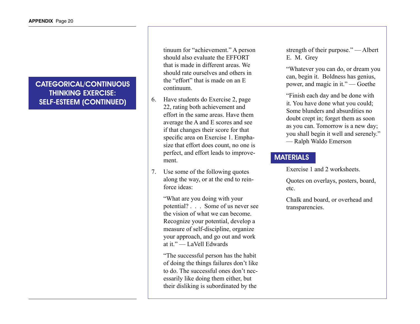## CATEGORICAL/CONTINUOUS THINKING EXERCISE: SELF-ESTEEM (CONTINUED)

tinuum for "achievement." A person should also evaluate the EFFORT that is made in different areas. We should rate ourselves and others in the "effort" that is made on an E continuum.

- 6. Have students do Exercise 2, page 22, rating both achievement and effort in the same areas. Have them average the A and E scores and see if that changes their score for that specific area on Exercise 1. Emphasize that effort does count, no one is perfect, and effort leads to improvement.
- 7. Use some of the following quotes along the way, or at the end to reinforce ideas:

"What are you doing with your potential? . . . Some of us never see the vision of what we can become. Recognize your potential, develop a measure of self-discipline, organize your approach, and go out and work at it." — LaVell Edwards

"The successful person has the habit of doing the things failures don't like to do. The successful ones don't necessarily like doing them either, but their disliking is subordinated by the

strength of their purpose." — Albert E. M. Grey

"Whatever you can do, or dream you can, begin it. Boldness has genius, power, and magic in it." — Goethe

"Finish each day and be done with it. You have done what you could; Some blunders and absurdities no doubt crept in; forget them as soon as you can. Tomorrow is a new day; you shall begin it well and serenely." — Ralph Waldo Emerson

## **MATERIALS**

Exercise 1 and 2 worksheets.

Quotes on overlays, posters, board, etc.

Chalk and board, or overhead and transparencies.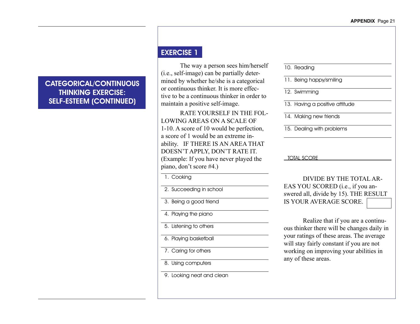CATEGORICAL/CONTINUOUS THINKING EXERCISE: SELF-ESTEEM (CONTINUED)

## EXERCISE 1

The way a person sees him/herself (i.e., self-image) can be partially determined by whether he/she is a categorical or continuous thinker. It is more effective to be a continuous thinker in order to maintain a positive self-image.

 RATE YOURSELF IN THE FOL-LOWING AREAS ON A SCALE OF 1-10. A score of 10 would be perfection, a score of 1 would be an extreme inability. IF THERE IS AN AREA THAT DOESN'T APPLY, DON'T RATE IT. (Example: If you have never played the piano, don't score #4.)

1. Cooking

2. Succeeding in school

 3. Being a good friend

 4. Playing the piano

5. Listening to others

 6. Playing basketball

 7. Caring for others

8. Using computers

9. Looking neat and clean

10. Reading

11. Being happy/smiling

12. Swimming

13. Having a positive attitude

14. Making new friends

15. Dealing with problems

### TOTAL SCORE

 DIVIDE BY THE TOTAL AR-EAS YOU SCORED (i.e., if you answered all, divide by 15). THE RESULT IS YOUR AVERAGE SCORE.

Realize that if you are a continuous thinker there will be changes daily in your ratings of these areas. The average will stay fairly constant if you are not working on improving your abilities in any of these areas.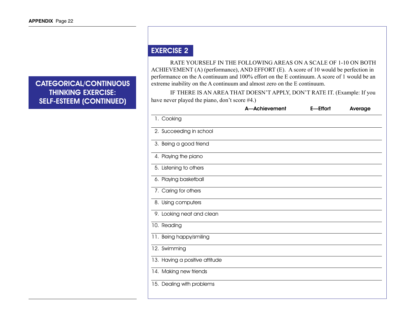## CATEGORICAL/CONTINUOUS THINKING EXERCISE: SELF-ESTEEM (CONTINUED)

## EXERCISE 2

RATE YOURSELF IN THE FOLLOWING AREAS ON A SCALE OF 1-10 ON BOTH ACHIEVEMENT (A) (performance), AND EFFORT (E). A score of 10 would be perfection in performance on the A continuum and 100% effort on the E continuum. A score of 1 would be an extreme inability on the A continuum and almost zero on the E continuum.

 IF THERE IS AN AREA THAT DOESN'T APPLY, DON'T RATE IT. (Example: If you have never played the piano, don't score #4.)

|                                | A-Achievement | E-Effort | Average |
|--------------------------------|---------------|----------|---------|
| 1. Cooking                     |               |          |         |
| 2. Succeeding in school        |               |          |         |
| 3. Being a good friend         |               |          |         |
| 4. Playing the piano           |               |          |         |
| 5. Listening to others         |               |          |         |
| 6. Playing basketball          |               |          |         |
| 7. Caring for others           |               |          |         |
| 8. Using computers             |               |          |         |
| 9. Looking neat and clean      |               |          |         |
| 10. Reading                    |               |          |         |
| 11. Being happy/smiling        |               |          |         |
| 12. Swimming                   |               |          |         |
| 13. Having a positive attitude |               |          |         |
| 14. Making new friends         |               |          |         |
| 15. Dealing with problems      |               |          |         |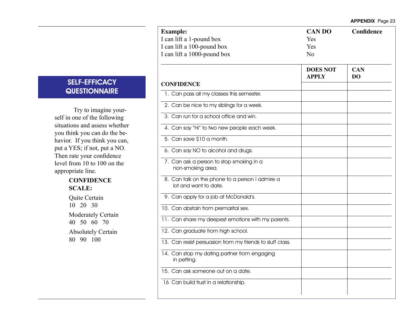| <b>SELF-EFFICACY</b> |  |
|----------------------|--|
| <b>QUESTIONNAIRE</b> |  |

Try to imagine yourself in one of the following situations and assess whether you think you can do the behavior. If you think you can, put a YES; if not, put a NO. Then rate your confidence level from 10 to 100 on the appropriate line.

### **CONFIDENCE SCALE:**

Quite Certain 10 20 30 Moderately Certain 40 50 60 70 Absolutely Certain 80 90 100

| <b>Example:</b>                                                          | <b>CAN DO</b>                   | Confidence       |
|--------------------------------------------------------------------------|---------------------------------|------------------|
| I can lift a 1-pound box                                                 | Yes                             |                  |
| I can lift a 100-pound box                                               | Yes                             |                  |
| I can lift a 1000-pound box                                              | No                              |                  |
|                                                                          | <b>DOES NOT</b><br><b>APPLY</b> | <b>CAN</b><br>DO |
| <b>CONFIDENCE</b>                                                        |                                 |                  |
| 1. Can pass all my classes this semester.                                |                                 |                  |
| 2. Can be nice to my siblings for a week.                                |                                 |                  |
| 3. Can run for a school office and win.                                  |                                 |                  |
| 4. Can say "Hi" to two new people each week.                             |                                 |                  |
| 5. Can save \$10 a month.                                                |                                 |                  |
| 6. Can say NO to alcohol and drugs.                                      |                                 |                  |
| 7. Can ask a person to stop smoking in a<br>non-smoking area.            |                                 |                  |
| 8. Can talk on the phone to a person I admire a<br>lot and want to date. |                                 |                  |
| 9. Can apply for a job at McDonald's.                                    |                                 |                  |
| 10. Can abstain from premarital sex.                                     |                                 |                  |
| 11. Can share my deepest emotions with my parents.                       |                                 |                  |
| 12. Can graduate from high school.                                       |                                 |                  |
| 13. Can resist persuasion from my friends to sluff class.                |                                 |                  |
| 14. Can stop my dating partner from engaging<br>in petting.              |                                 |                  |
| 15. Can ask someone out on a date.                                       |                                 |                  |
| 16 Can build trust in a relationship.                                    |                                 |                  |
|                                                                          |                                 |                  |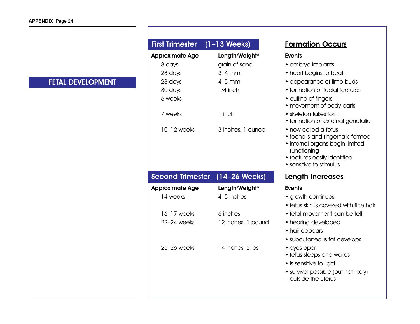## FETAL DEVELOPMENT

| First Trimester (1-13 Weeks) |                   | Form                                                                                      |
|------------------------------|-------------------|-------------------------------------------------------------------------------------------|
| <b>Approximate Age</b>       | Length/Weight*    | <b>Events</b>                                                                             |
| 8 days                       | grain of sand     | $\bullet$ emb                                                                             |
| 23 days                      | $3-4$ mm          | $\bullet$ hear                                                                            |
| 28 days                      | 4–5 mm            | $\bullet$ appe                                                                            |
| 30 days                      | $1/4$ inch        | $\bullet$ form                                                                            |
| 6 weeks                      |                   | $\bullet$ outlin<br>$\bullet$ mov                                                         |
| 7 weeks                      | 1 inch            | • skele<br>$\bullet$ form                                                                 |
| 10–12 weeks                  | 3 inches, 1 ounce | $\bullet$ now<br>$\bullet$ toen<br>$\bullet$ interr<br>func<br>• featu<br>$\bullet$ sensi |

## Second Trimester (14-26 Weeks) Length Increases

| Approximate Age | Length/Weight*     | <b>Events</b>    |
|-----------------|--------------------|------------------|
| 14 weeks        | 4-5 inches         | $\bullet$ grow   |
|                 |                    | $\bullet$ fetus  |
| $16-17$ weeks   | 6 inches           | $\bullet$ fetal  |
| $22-24$ weeks   | 12 inches, 1 pound | $\bullet$ hear   |
|                 |                    | • hair           |
|                 |                    | $\bullet$ subc   |
| $25-26$ weeks   | 14 inches, 2 lbs.  | $\bullet$ eyes   |
|                 |                    | $\bullet$ fetus  |
|                 |                    | $\bullet$ is ser |
|                 |                    | • surviv         |
|                 |                    | outsi            |

## **Formation Occurs**

- embryo implants
- heart begins to beat
- appearance of limb buds
- formation of facial features
- outline of fingers
- movement of body parts
- skeleton takes form
- formation of external genetalia
- now called a fetus
- toenails and fingernails formed
- internal organs begin limited functioning
- features easily identified
- sensitive to stimulus

- growth continues
- fetus skin is covered with fine hair
- fetal movement can be felt
- d hearing developed
	- hair appears
	- subcutaneous fat develops
	- eyes open
	- fetus sleeps and wakes
	- is sensitive to light
	- survival possible (but not likely) outside the uterus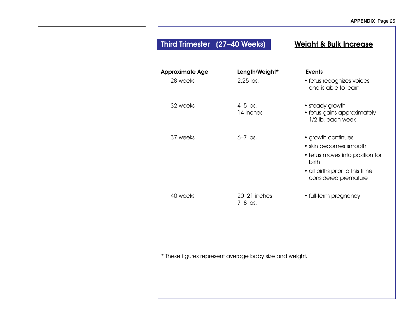| Third Trimester (27-40 Weeks)                           |                             | <b>Weight &amp; Bulk Increase</b>                                                                                                                  |  |  |  |  |
|---------------------------------------------------------|-----------------------------|----------------------------------------------------------------------------------------------------------------------------------------------------|--|--|--|--|
| <b>Approximate Age</b><br>28 weeks                      | Length/Weight*<br>2.25 lbs. | <b>Events</b><br>· fetus recognizes voices<br>and is able to learn                                                                                 |  |  |  |  |
| 32 weeks                                                | $4-5$ lbs.<br>14 inches     | • steady growth<br>· fetus gains approximately<br>1/2 lb. each week                                                                                |  |  |  |  |
| 37 weeks                                                | $6-7$ lbs.                  | • growth continues<br>• skin becomes smooth<br>• fetus moves into position for<br>birth<br>• all births prior to this time<br>considered premature |  |  |  |  |
| 40 weeks                                                | 20-21 inches<br>$7-8$ lbs.  | • full-term pregnancy                                                                                                                              |  |  |  |  |
| * These figures represent average baby size and weight. |                             |                                                                                                                                                    |  |  |  |  |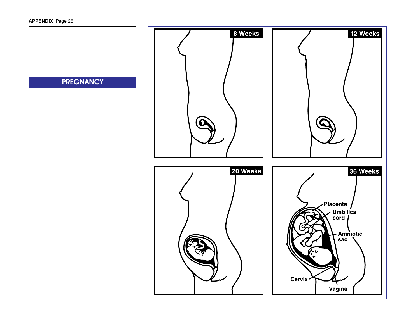**PREGNANCY** 

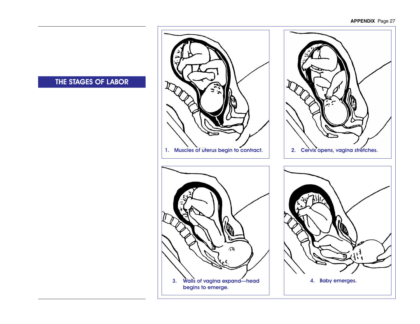### **APPENDIX** Page 27



## THE STAGES OF LABOR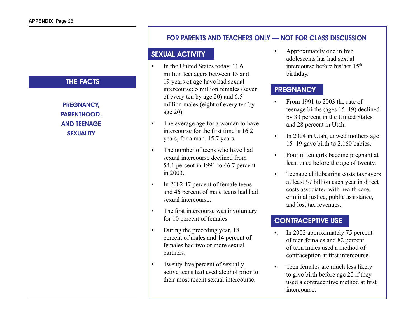## THE FACTS

PREGNANCY, PARENTHOOD, AND TEENAGE **SEXUALITY** 

## FOR PARENTS AND TEACHERS ONLY — NOT FOR CLASS DISCUSSION

## SEXUAL ACTIVITY

- In the United States today, 11.6 million teenagers between 13 and 19 years of age have had sexual intercourse; 5 million females (seven of every ten by age 20) and 6.5 million males (eight of every ten by age 20).
- The average age for a woman to have intercourse for the first time is 16.2 years; for a man, 15.7 years.
- The number of teens who have had sexual intercourse declined from 54.1 percent in 1991 to 46.7 percent in 2003.
- In 2002 47 percent of female teens and 46 percent of male teens had had sexual intercourse.
- The first intercourse was involuntary for 10 percent of females.
- During the preceding year, 18 percent of males and 14 percent of females had two or more sexual partners.
- Twenty-five percent of sexually active teens had used alcohol prior to their most recent sexual intercourse.

• Approximately one in five adolescents has had sexual intercourse before his/her 15th birthday.

## **PREGNANCY**

- From 1991 to  $2003$  the rate of teenage births (ages 15–19) declined by 33 percent in the United States and 28 percent in Utah.
- In 2004 in Utah, unwed mothers age 15–19 gave birth to 2,160 babies.
- Four in ten girls become pregnant at least once before the age of twenty.
- Teenage childbearing costs taxpayers at least \$7 billion each year in direct costs associated with health care, criminal justice, public assistance, and lost tax revenues.

## CONTRACEPTIVE USE

- •. In 2002 approximately 75 percent of teen females and 82 percent of teen males used a method of contraception at first intercourse.
- Teen females are much less likely to give birth before age 20 if they used a contraceptive method at first intercourse.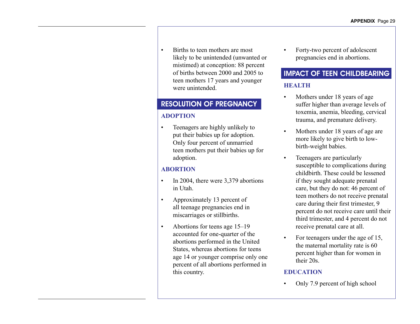• Births to teen mothers are most likely to be unintended (unwanted or mistimed) at conception: 88 percent of births between 2000 and 2005 to teen mothers 17 years and younger were unintended.

## RESOLUTION OF PREGNANCY

### **ADOPTION**

Teenagers are highly unlikely to put their babies up for adoption. Only four percent of unmarried teen mothers put their babies up for adoption.

## **ABORTION**

- In 2004, there were  $3,379$  abortions in Utah.
- Approximately 13 percent of all teenage pregnancies end in miscarriages or stillbirths.
- Abortions for teens age  $15-19$ accounted for one-quarter of the abortions performed in the United States, whereas abortions for teens age 14 or younger comprise only one percent of all abortions performed in this country.

Forty-two percent of adolescent pregnancies end in abortions.

## IMPACT OF TEEN CHILDBEARING **HEALTH**

- Mothers under 18 years of age suffer higher than average levels of toxemia, anemia, bleeding, cervical trauma, and premature delivery.
- Mothers under 18 years of age are more likely to give birth to lowbirth-weight babies.
- Teenagers are particularly susceptible to complications during childbirth. These could be lessened if they sought adequate prenatal care, but they do not: 46 percent of teen mothers do not receive prenatal care during their first trimester, 9 percent do not receive care until their third trimester, and 4 percent do not receive prenatal care at all.
- For teenagers under the age of 15, the maternal mortality rate is 60 percent higher than for women in their 20s.

### **EDUCATION**

Only 7.9 percent of high school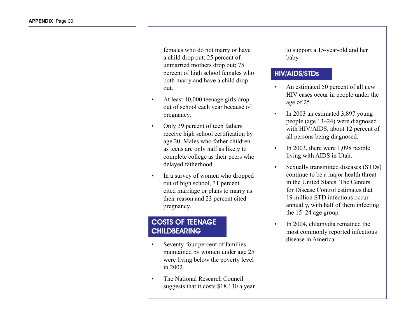females who do not marry or have a child drop out; 25 percent of unmarried mothers drop out; 75 percent of high school females who both marry and have a child drop out.

- At least  $40,000$  teenage girls drop out of school each year because of pregnancy.
- Only 39 percent of teen fathers receive high school certification by age 20. Males who father children as teens are only half as likely to complete college as their peers who delayed fatherhood.
- In a survey of women who dropped out of high school, 31 percent cited marriage or plans to marry as their reason and 23 percent cited pregnancy.

## COSTS OF TEENAGE **CHILDBEARING**

- Seventy-four percent of families maintained by women under age 25 were living below the poverty level in 2002.
- The National Research Council suggests that it costs \$18,130 a year

to support a 15-year-old and her baby.

## HIV/AIDS/STDs

- An estimated 50 percent of all new HIV cases occur in people under the age of 25.
- In 2003 an estimated  $3,897$  young people (age 13–24) were diagnosed with HIV/AIDS, about 12 percent of all persons being diagnosed.
- In 2003, there were  $1,098$  people living with AIDS in Utah.
- Sexually transmitted diseases (STDs) continue to be a major health threat in the United States. The Centers for Disease Control estimates that 19 million STD infections occur annually, with half of them infecting the 15–24 age group.
- In 2004, chlamydia remained the most commonly reported infectious disease in America.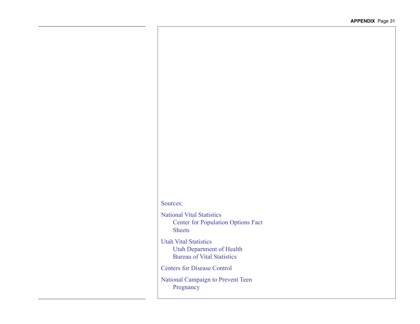## Sources:

National Vital Statistics Center for Population Options Fact Sheets

Utah Vital Statistics Utah Department of Health Bureau of Vital Statistics

Centers for Disease Control

National Campaign to Prevent Teen Pregnancy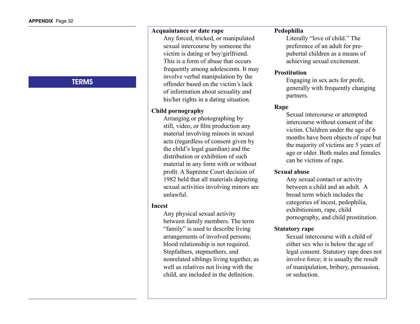## **TERMS**

### **Acquaintance or date rape**

 Any forced, tricked, or manipulated sexual intercourse by someone the victim is dating or boy/girlfriend. This is a form of abuse that occurs frequently among adolescents. It may involve verbal manipulation by the offender based on the victim's lack of information about sexuality and his/her rights in a dating situation.

### **Child pornography**

 Arranging or photographing by still, video, or film production any material involving minors in sexual acts (regardless of consent given by the child's legal guardian) and the distribution or exhibition of such material in any form with or without profit. A Supreme Court decision of 1982 held that all materials depicting sexual activities involving minors are unlawful.

### **Incest**

 Any physical sexual activity between family members. The term "family" is used to describe living arrangements of involved persons; blood relationship is not required. Stepfathers, stepmothers, and nonrelated siblings living together, as well as relatives not living with the child, are included in the definition.

### **Pedophilia**

 Literally "love of child." The preference of an adult for prepubertal children as a means of achieving sexual excitement.

### **Prostitution**

Engaging in sex acts for profit, generally with frequently changing partners.

### **Rape**

 Sexual intercourse or attempted intercourse without consent of the victim. Children under the age of 6 months have been objects of rape but the majority of victims are 5 years of age or older. Both males and females can be victims of rape.

### **Sexual abuse**

 Any sexual contact or activity between a child and an adult. A broad term which includes the categories of incest, pedophilia, exhibitionism, rape, child pornography, and child prostitution.

### **Statutory rape**

 Sexual intercourse with a child of either sex who is below the age of legal consent. Statutory rape does not involve force; it is usually the result of manipulation, bribery, persuasion, or seduction.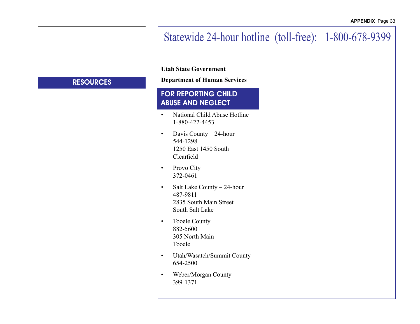# Statewide 24-hour hotline (toll-free): 1-800-678-9399

**Utah State Government**

**Department of Human Services**

## FOR REPORTING CHILD ABUSE AND NEGLECT

- National Child Abuse Hotline 1-880-422-4453
- Davis County  $-24$ -hour 544-1298 1250 East 1450 South Clearfield
- Provo City 372-0461
- Salt Lake County 24-hour 487-9811 2835 South Main Street South Salt Lake
- Tooele County 882-5600 305 North Main Tooele
- • Utah/Wasatch/Summit County 654-2500
- • Weber/Morgan County 399-1371

## **RESOURCES**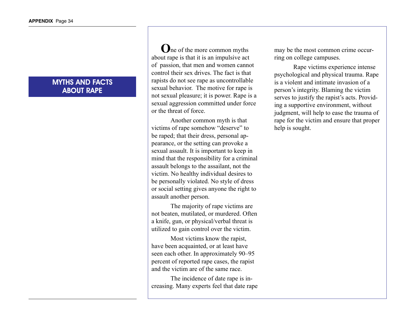### MYTHS AND FACTS ABOUT RAPE

**O**ne of the more common myths about rape is that it is an impulsive act of passion, that men and women cannot control their sex drives. The fact is that rapists do not see rape as uncontrollable sexual behavior. The motive for rape is not sexual pleasure; it is power. Rape is a sexual aggression committed under force or the threat of force.

 Another common myth is that victims of rape somehow "deserve" to be raped; that their dress, personal appearance, or the setting can provoke a sexual assault. It is important to keep in mind that the responsibility for a criminal assault belongs to the assailant, not the victim. No healthy individual desires to be personally violated. No style of dress or social setting gives anyone the right to assault another person.

 The majority of rape victims are not beaten, mutilated, or murdered. Often a knife, gun, or physical/verbal threat is utilized to gain control over the victim.

 Most victims know the rapist, have been acquainted, or at least have seen each other. In approximately 90–95 percent of reported rape cases, the rapist and the victim are of the same race.

 The incidence of date rape is increasing. Many experts feel that date rape may be the most common crime occurring on college campuses.

 Rape victims experience intense psychological and physical trauma. Rape is a violent and intimate invasion of a person's integrity. Blaming the victim serves to justify the rapist's acts. Providing a supportive environment, without judgment, will help to ease the trauma of rape for the victim and ensure that proper help is sought.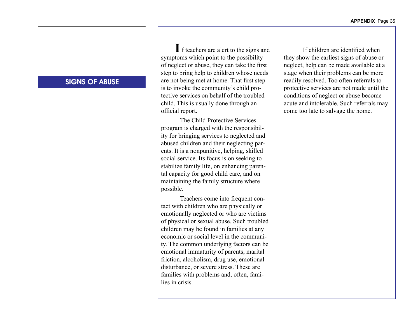## SIGNS OF ABUSE

 f teachers are alert to the signs and **I**symptoms which point to the possibility of neglect or abuse, they can take the first step to bring help to children whose needs are not being met at home. That first step is to invoke the community's child protective services on behalf of the troubled child. This is usually done through an official report.

 The Child Protective Services program is charged with the responsibility for bringing services to neglected and abused children and their neglecting parents. It is a nonpunitive, helping, skilled social service. Its focus is on seeking to stabilize family life, on enhancing parental capacity for good child care, and on maintaining the family structure where possible.

 Teachers come into frequent contact with children who are physically or emotionally neglected or who are victims of physical or sexual abuse. Such troubled children may be found in families at any economic or social level in the community. The common underlying factors can be emotional immaturity of parents, marital friction, alcoholism, drug use, emotional disturbance, or severe stress. These are families with problems and, often, families in crisis.

If children are identified when they show the earliest signs of abuse or neglect, help can be made available at a stage when their problems can be more readily resolved. Too often referrals to protective services are not made until the conditions of neglect or abuse become acute and intolerable. Such referrals may come too late to salvage the home.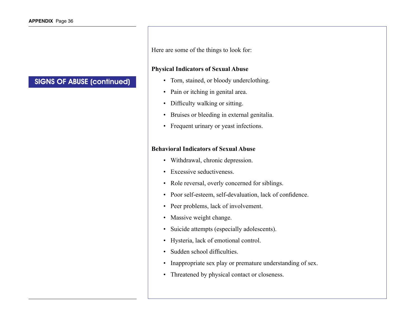## SIGNS OF ABUSE (continued)

Here are some of the things to look for:

### **Physical Indicators of Sexual Abuse**

- Torn, stained, or bloody underclothing.
- Pain or itching in genital area.
- Difficulty walking or sitting.
- • Bruises or bleeding in external genitalia.
- Frequent urinary or yeast infections.

### **Behavioral Indicators of Sexual Abuse**

- Withdrawal, chronic depression.
- Excessive seductiveness.
- Role reversal, overly concerned for siblings.
- Poor self-esteem, self-devaluation, lack of confidence.
- Peer problems, lack of involvement.
- Massive weight change.
- • Suicide attempts (especially adolescents).
- • Hysteria, lack of emotional control.
- Sudden school difficulties.
- Inappropriate sex play or premature understanding of sex.
- Threatened by physical contact or closeness.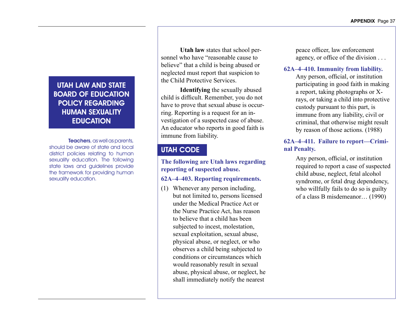## UTAH LAW AND STATE BOARD OF EDUCATION POLICY REGARDING HUMAN SEXUALITY **EDUCATION**

Teachers, as well as parents, should be aware of state and local district policies relating to human sexuality education. The following state laws and guidelines provide the framework for providing human sexuality education.

**Utah law** states that school personnel who have "reasonable cause to believe" that a child is being abused or neglected must report that suspicion to the Child Protective Services.

**Identifying** the sexually abused child is difficult. Remember, you do not have to prove that sexual abuse is occurring. Reporting is a request for an investigation of a suspected case of abuse. An educator who reports in good faith is immune from liability.

## UTAH CODE

### **The following are Utah laws regarding reporting of suspected abuse.**

### **62A–4–403. Reporting requirements.**

(1) Whenever any person including, but not limited to, persons licensed under the Medical Practice Act or the Nurse Practice Act, has reason to believe that a child has been subjected to incest, molestation, sexual exploitation, sexual abuse, physical abuse, or neglect, or who observes a child being subjected to conditions or circumstances which would reasonably result in sexual abuse, physical abuse, or neglect, he shall immediately notify the nearest

peace officer, law enforcement agency, or office of the division . . .

### **62A–4–410. Immunity from liability.**

Any person, official, or institution participating in good faith in making a report, taking photographs or Xrays, or taking a child into protective custody pursuant to this part, is immune from any liability, civil or criminal, that otherwise might result by reason of those actions. (1988)

### **62A–4–411. Failure to report—Criminal Penalty.**

Any person, official, or institution required to report a case of suspected child abuse, neglect, fetal alcohol syndrome, or fetal drug dependency, who willfully fails to do so is guilty of a class B misdemeanor… (1990)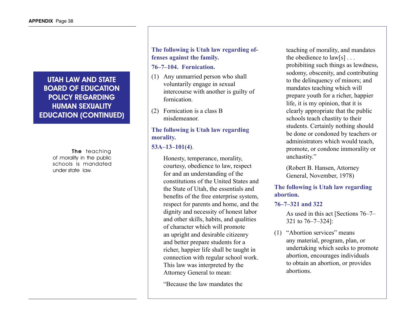# UTAH LAW AND STATE BOARD OF EDUCATION POLICY REGARDING HUMAN SEXUALITY EDUCATION (CONTINUED)

The teaching of morality in the public schools is mandated under state law.

# **The following is Utah law regarding offenses against the family.**

#### **76–7–104. Fornication.**

- (1) Any unmarried person who shall voluntarily engage in sexual intercourse with another is guilty of fornication.
- (2) Fornication is a class B misdemeanor.

# **The following is Utah law regarding morality.**

## **53A–13–101(4)**.

 Honesty, temperance, morality, courtesy, obedience to law, respect for and an understanding of the constitutions of the United States and the State of Utah, the essentials and benefits of the free enterprise system, respect for parents and home, and the dignity and necessity of honest labor and other skills, habits, and qualities of character which will promote an upright and desirable citizenry and better prepare students for a richer, happier life shall be taught in connection with regular school work. This law was interpreted by the Attorney General to mean:

 "Because the law mandates the

teaching of morality, and mandates the obedience to law[s] . . . prohibiting such things as lewdness, sodomy, obscenity, and contributing to the delinquency of minors; and mandates teaching which will prepare youth for a richer, happier life, it is my opinion, that it is clearly appropriate that the public schools teach chastity to their students. Certainly nothing should be done or condoned by teachers or administrators which would teach, promote, or condone immorality or unchastity."

 (Robert B. Hansen, Attorney General, November, 1978)

## **The following is Utah law regarding abortion.**

#### **76–7–321 and 322**

 As used in this act [Sections 76–7– 321 to 76–7–324]:

(1) "Abortion services" means any material, program, plan, or undertaking which seeks to promote abortion, encourages individuals to obtain an abortion, or provides abortions.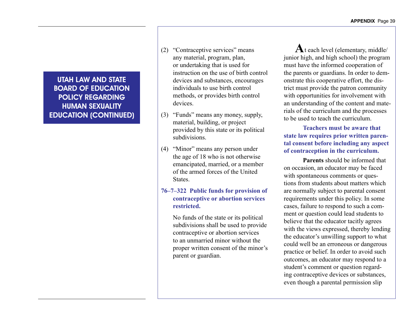UTAH LAW AND STATE BOARD OF EDUCATION POLICY REGARDING HUMAN SEXUALITY EDUCATION (CONTINUED)

- (2) "Contraceptive services" means any material, program, plan, or undertaking that is used for instruction on the use of birth control devices and substances, encourages individuals to use birth control methods, or provides birth control devices.
- (3) "Funds" means any money, supply, material, building, or project provided by this state or its political subdivisions.
- (4) "Minor" means any person under the age of 18 who is not otherwise emancipated, married, or a member of the armed forces of the United **States**

### **76–7–322 Public funds for provision of contraceptive or abortion services restricted.**

 No funds of the state or its political subdivisions shall be used to provide contraceptive or abortion services to an unmarried minor without the proper written consent of the minor's parent or guardian. 

A<sup>t</sup> each level (elementary, middle) junior high, and high school) the program must have the informed cooperation of the parents or guardians. In order to demonstrate this cooperative effort, the district must provide the patron community with opportunities for involvement with an understanding of the content and materials of the curriculum and the processes to be used to teach the curriculum.

### **Teachers must be aware that state law requires prior written parental consent before including any aspect of contraception in the curriculum.**

**Parents** should be informed that on occasion, an educator may be faced with spontaneous comments or questions from students about matters which are normally subject to parental consent requirements under this policy. In some cases, failure to respond to such a comment or question could lead students to believe that the educator tacitly agrees with the views expressed, thereby lending the educator's unwilling support to what could well be an erroneous or dangerous practice or belief. In order to avoid such outcomes, an educator may respond to a student's comment or question regarding contraceptive devices or substances, even though a parental permission slip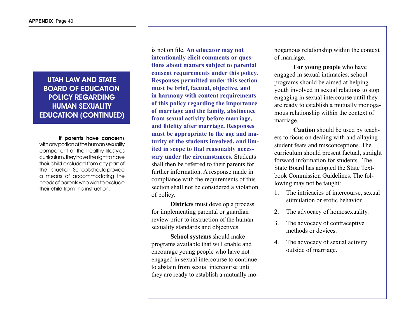# UTAH LAW AND STATE BOARD OF EDUCATION POLICY REGARDING HUMAN SEXUALITY EDUCATION (CONTINUED)

If parents have concerns with any portion of the human sexuality component of the healthy lifestyles curriculum, they have the right to have their child excluded from any part of the instruction. Schools should provide a means of accommodating the needs of parents who wish to exclude their child from this instruction.

is not on file. **An educator may not intentionally elicit comments or questions about matters subject to parental consent requirements under this policy. Responses permitted under this section must be brief, factual, objective, and in harmony with content requirements of this policy regarding the importance of marriage and the family, abstinence from sexual activity before marriage, and fidelity after marriage. Responses must be appropriate to the age and maturity of the students involved, and limited in scope to that reasonably necessary under the circumstances.** Students shall then be referred to their parents for further information. A response made in compliance with the requirements of this section shall not be considered a violation of policy.

**Districts** must develop a process for implementing parental or guardian review prior to instruction of the human sexuality standards and objectives.

**School systems** should make programs available that will enable and encourage young people who have not engaged in sexual intercourse to continue to abstain from sexual intercourse until they are ready to establish a mutually monogamous relationship within the context of marriage.

**For young people** who have engaged in sexual intimacies, school programs should be aimed at helping youth involved in sexual relations to stop engaging in sexual intercourse until they are ready to establish a mutually monogamous relationship within the context of marriage.

**Caution** should be used by teachers to focus on dealing with and allaying student fears and misconceptions. The curriculum should present factual, straight forward information for students. The State Board has adopted the State Textbook Commission Guidelines. The following may not be taught:

- 1. The intricacies of intercourse, sexual stimulation or erotic behavior.
- 2. The advocacy of homosexuality.
- 3. The advocacy of contraceptive methods or devices.
- 4. The advocacy of sexual activity outside of marriage.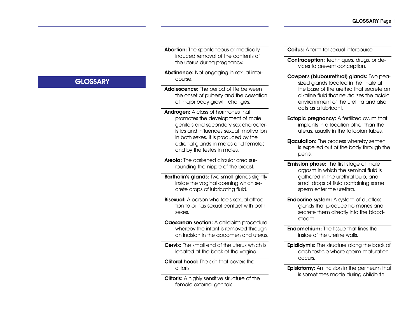Abortion: The spontaneous or medically induced removal of the contents of the uterus during pregnancy.

Abstinence: Not engaging in sexual intercourse.

Adolescence: The period of life between the onset of puberty and the cessation of major body growth changes.

Androgen: A class of hormones that promotes the development of male genitals and secondary sex characteristics and influences sexual motivation in both sexes. It is produced by the adrenal glands in males and females and by the testes in males.

Areola: The darkened circular area surrounding the nipple of the breast.

**Bartholin's glands:** Two small glands slightly inside the vaginal opening which secrete drops of lubricating fluid.

**Bisexual:** A person who feels sexual attraction to or has sexual contact with both sexes.

Caesarean section: A childbirth procedure whereby the infant is removed through an incision in the abdomen and uterus.

Cervix: The small end of the uterus which is located at the back of the vagina.

Clitoral hood: The skin that covers the clitoris.

Clitoris: A highly sensitive structure of the female external genitals.

Coitus: A term for sexual intercourse.

Contraception: Techniques, drugs, or devices to prevent conception.

Cowper's (blubourethral) glands: Two peasized glands located in the male at the base of the urethra that secrete an alkaline fluid that neutralizes the acidic environnment of the urethra and also acts as a lubricant.

- **Ectopic pregnancy:** A fertilized ovum that implants in a location other than the uterus, usually in the fallopian tubes.
- **Ejaculation:** The process whereby semen is expelled out of the body through the penis.
- **Emission phase:** The first stage of male orgasm in which the seminal fluid is gathered in the urethral bulb, and small drops of fluid containing some sperm enter the urethra.
- Endocrine system: A system of ductless glands that produce hormones and secrete them directly into the bloodstream.
- Endometrium: The tissue that lines the inside of the uterine walls.
- **Epididymis:** The structure along the back of each testicle where sperm maturation occurs.
- **Episiotomy:** An incision in the perineum that is sometimes made during childbirth.

# **GLOSSARY**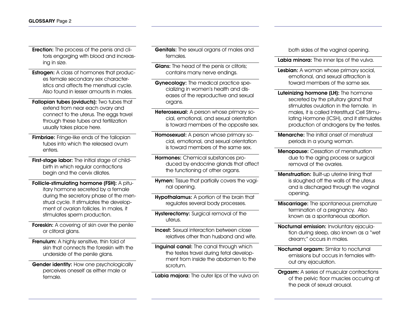- Erection: The process of the penis and clitoris engorging with blood and increasing in size.
- Estrogen: A class of hormones that produces female secondary sex characteristics and affects the menstrual cycle. Also found in lesser amounts in males.
- Fallopian tubes (oviducts): Two tubes that extend from near each ovary and connect to the uterus. The eggs travel through these tubes and fertilization usually takes place here.
- **Fimbriae:** Fringe-like ends of the fallopian tubes into which the released ovum enters.
- First-stage labor: The initial stage of childbirth in which regular contractions begin and the cervix dilates.
- Follicle-stimulating hormone (FSH): A pituitary hormone secreted by a female during the secretory phase of the menstrual cycle. It stimulates the development of ovarian follicles. In males, it stimulates sperm production.
- **Foreskin:** A covering of skin over the penile or clitoral glans.
- Frenulum: A highly sensitive, thin fold of skin that connects the foreskin with the underside of the penile glans.
- Gender identity: How one psychologically perceives oneself as either male or female.

**Genitals:** The sexual organs of males and females.

- **Glans:** The head of the penis or clitoris; contains many nerve endings.
- Gynecology: The medical practice specializing in women's health and diseases of the reproductive and sexual organs.
- Heterosexual: A person whose primary social, emotional, and sexual orientation is toward members of the opposite sex.
- **Homosexual:** A person whose primary social, emotional, and sexual orientation is toward members of the same sex.
- Hormones: Chemical substances produced by endocrine glands that affect the functioning of other organs.
- Hymen: Tissue that partially covers the vaginal opening.
- Hypothalamus: A portion of the brain that regulates several body processes.
- Hysterectomy: Surgical removal of the uterus.
- **Incest:** Sexual interaction between close relatives other than husband and wife.
- Inguinal canal: The canal through which the testes travel during fetal development from inside the abdomen to the scrotum.
- Labia majora: The outer lips of the vulva on

both sides of the vaginal opening.

- Labia minora: The inner lips of the vulva.
- Lesbian: A woman whose primary social, emotional, and sexual attraction is toward members of the same sex.
- Luteinizing hormone (LH): The hormone secreted by the pituitary gland that stimulates ovulation in the female. In males, it is called Interstitual Cell Stimulating Hormone (ICSH), and it stimulates production of androgens by the testes.
- **Menarche:** The initial onset of menstrual periods in a young woman.
- Menopause: Cessation of menstruation due to the aging process or surgical removal of the ovaries.
- **Menstruation:** Built-up uterine lining that is sloughed off the walls of the uterus and is discharged through the vaginal opening.
- **Miscarriage:** The spontaneous premature termination of a pregnancy. Also known as a spontaneous abortion.
- Nocturnal emission: Involuntary ejaculation during sleep, also known as a "wet dream;" occurs in males.
- Nocturnal orgasm: Similar to nocturnal emissions but occurs in females without any ejaculation.
- **Orgasm:** A series of muscular contractions of the pelvic floor muscles occuring at the peak of sexual arousal.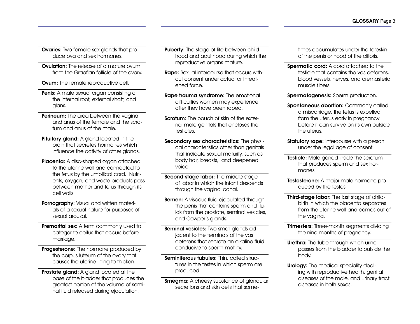Ovaries: Two female sex glands that produce ova and sex hormones.

**Ovulation:** The release of a mature ovum from the Graafian follicle of the ovary.

**Ovum:** The female reproductive cell.

Penis: A male sexual organ consisting of the internal root, external shaft, and glans.

**Perineum:** The area between the vagina and anus of the female and the scrotum and anus of the male.

Pituitary gland: A gland located in the brain that secretes hormones which influence the activity of other glands.

Placenta: A disc-shaped organ attached to the uterine wall and connected to the fetus by the umbilical cord. Nutrients, oxygen, and waste products pass between mother and fetus through its cell walls.

Pornography: Visual and written materials of a sexual nature for purposes of sexual arousal.

**Premarital sex:** A term commonly used to categorize coitus that occurs before marriage.

Progesterone: The hormone produced by the corpus luteum of the ovary that causes the uterine lining to thicken.

Prostate gland: A gland located at the base of the bladder that produces the greatest portion of the volume of seminal fluid released during ejaculation.

Puberty: The stage of life between childhood and adulthood during which the reproductive organs mature.

Rape: Sexual intercourse that occurs without consent under actual or threatened force.

Rape trauma syndrome: The emotional difficulties women may experience after they have been raped.

**Scrotum:** The pouch of skin of the external male genitals that encloses the testicles.

Secondary sex characteristics: The physical characteristics other than genitals that indicate sexual maturity, such as body hair, breasts, and deepened voice.

Second-stage labor: The middle stage of labor in which the infant descends through the vaginal canal.

Semen: A viscous fluid ejaculated through the penis that contains sperm and fluids from the prostate, seminal vesicles, and Cowper's glands.

Seminal vesicles: Two small glands adjacent to the terminals of the vas deferens that secrete an alkaline fluid conducive to sperm motility.

Seminiferous tubules: Thin, coiled structures in the testes in which sperm are produced.

**Smegma:** A cheesy substance of glandular secretions and skin cells that sometimes accumulates under the foreskin of the penis or hood of the clitoris.

**Spermatic cord:** A cord attached to the testicle that contains the vas deferens, blood vessels, nerves, and cremasteric muscle fibers.

Spermatogenesis: Sperm production.

Spontaneous abortion: Commonly called a miscarriage, the fetus is expelled from the uterus early in pregnancy before it can survive on its own outside the uterus.

**Statutory rape:** Intercourse with a person under the legal age of consent.

Testicle: Male gonad inside the scrotum that produces sperm and sex hormones.

Testosterone: A major male hormone produced by the testes.

Third-stage labor: The last stage of childbirth in which the placenta separates from the uterine wall and comes out of the vagina.

**Trimesters:** Three-month segments dividing the nine months of pregnancy.

Urethra: The tube through which urine passes from the bladder to outside the body.

Urology: The medical speciality dealing with reproductive health, genital diseases of the male, and urinary tract diseases in both sexes.